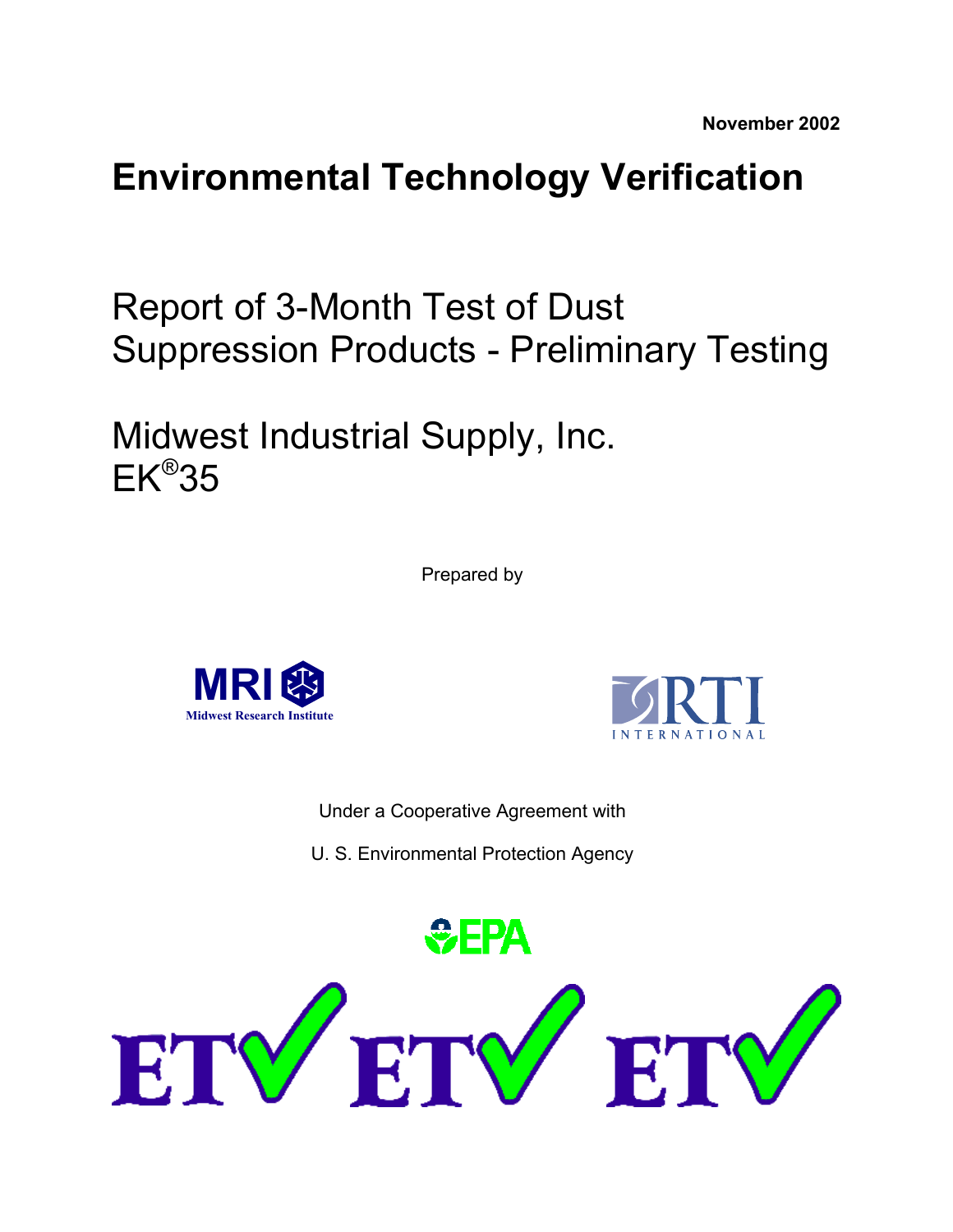# **Environmental Technology Verification**

Report of 3-Month Test of Dust Suppression Products - Preliminary Testing

Midwest Industrial Supply, Inc. EK®35

Prepared by





Under a Cooperative Agreement with

U. S. Environmental Protection Agency

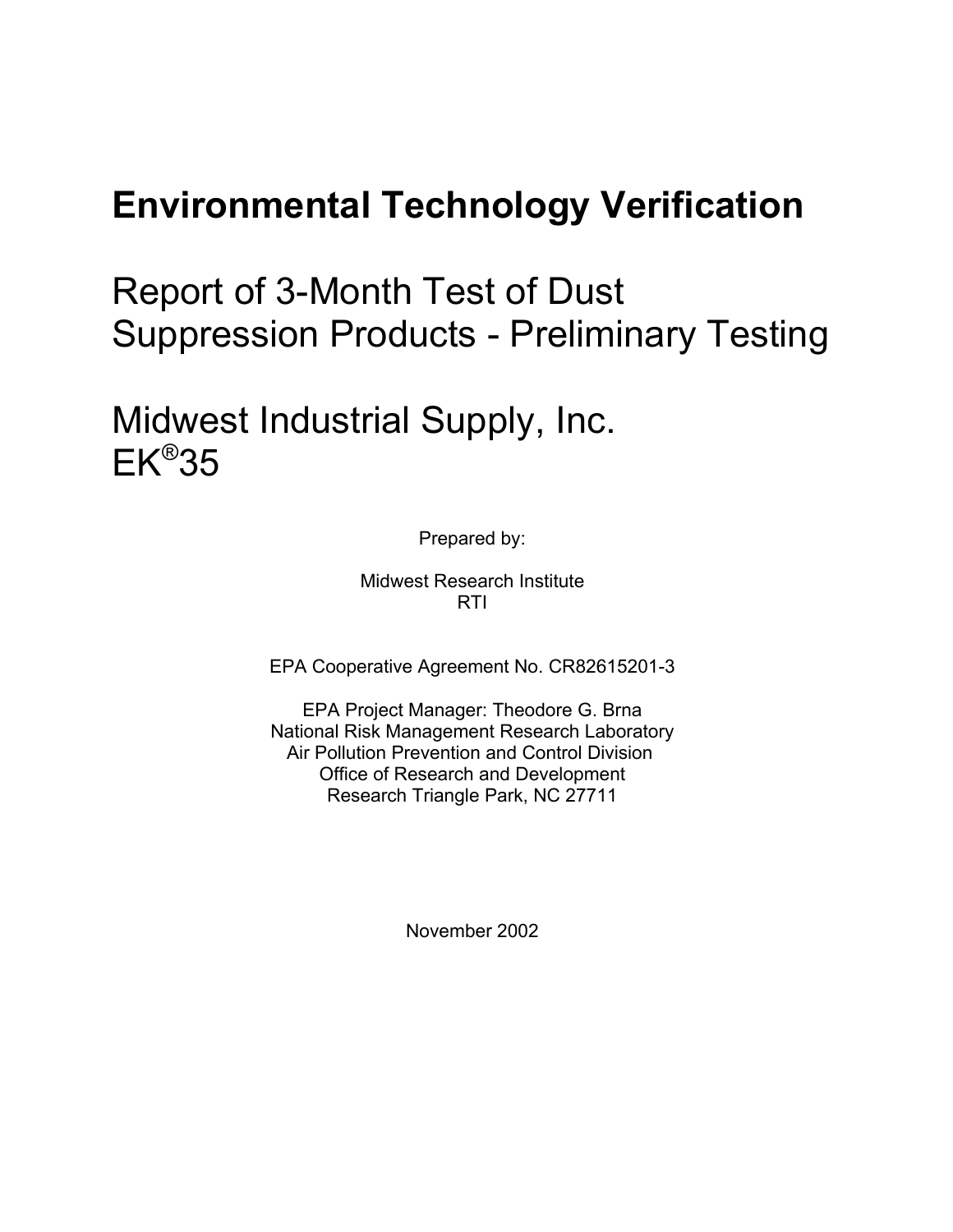# **Environmental Technology Verification**

Report of 3-Month Test of Dust Suppression Products - Preliminary Testing

Midwest Industrial Supply, Inc.  $EK^{\circledR}35$ 

Prepared by:

Midwest Research Institute RTI

EPA Cooperative Agreement No. CR82615201-3

EPA Project Manager: Theodore G. Brna National Risk Management Research Laboratory Air Pollution Prevention and Control Division Office of Research and Development Research Triangle Park, NC 27711

November 2002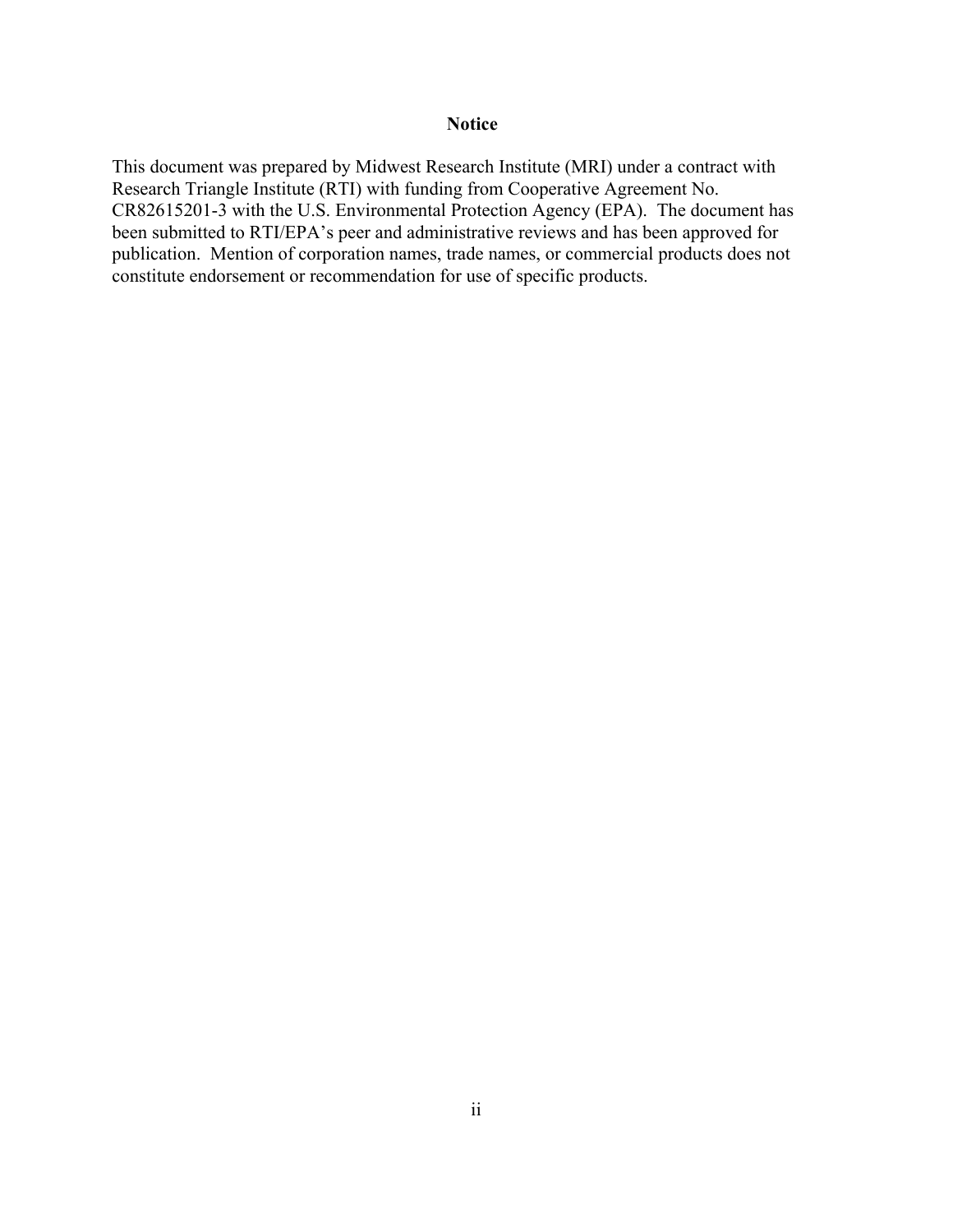#### **Notice**

This document was prepared by Midwest Research Institute (MRI) under a contract with Research Triangle Institute (RTI) with funding from Cooperative Agreement No. CR82615201-3 with the U.S. Environmental Protection Agency (EPA). The document has been submitted to RTI/EPA's peer and administrative reviews and has been approved for publication. Mention of corporation names, trade names, or commercial products does not constitute endorsement or recommendation for use of specific products.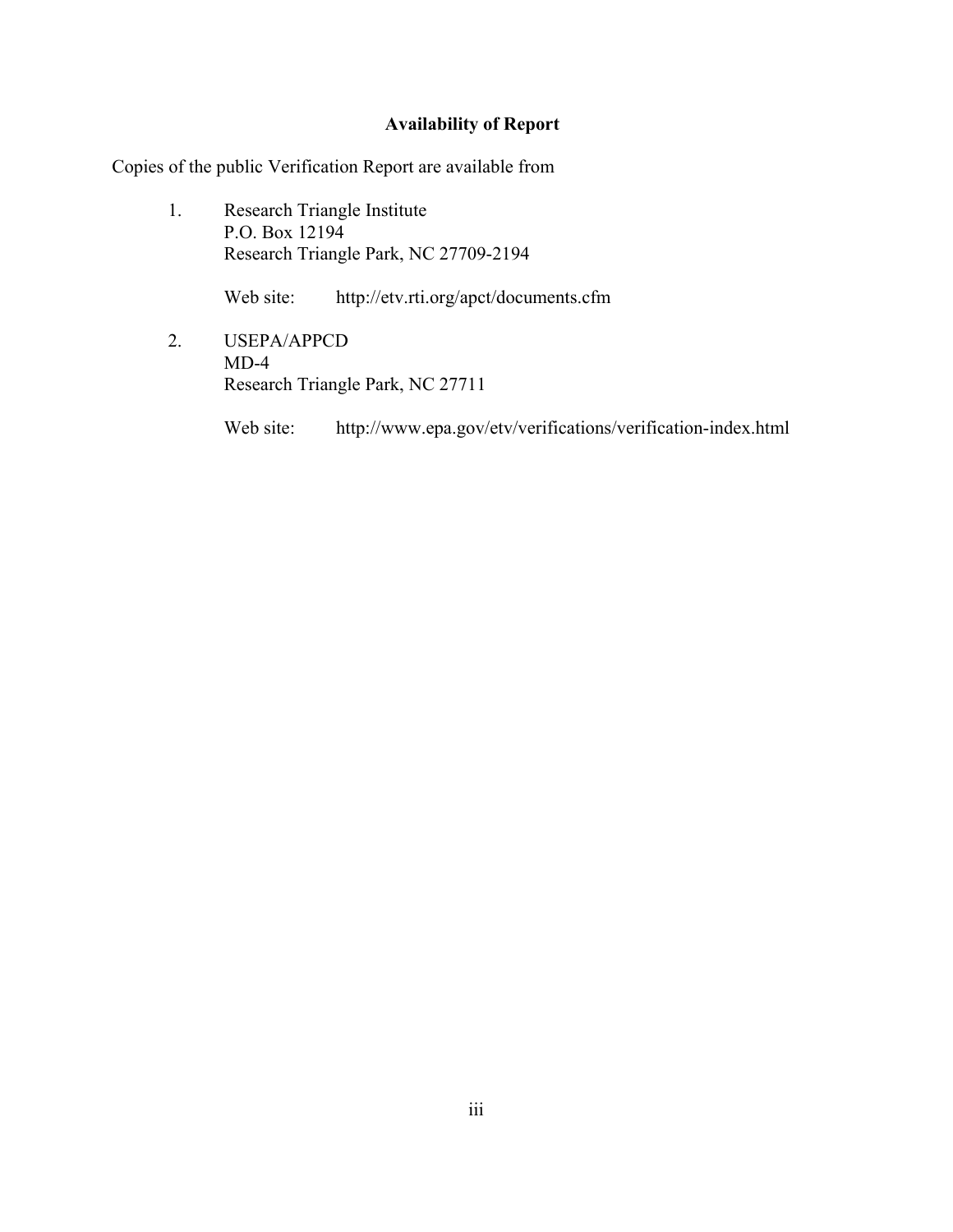## **Availability of Report**

Copies of the public Verification Report are available from

1. Research Triangle Institute P.O. Box 12194 Research Triangle Park, NC 27709-2194

Web site: http://etv.rti.org/apct/documents.cfm

2. USEPA/APPCD MD-4 Research Triangle Park, NC 27711

Web site: http://www.epa.gov/etv/verifications/verification-index.html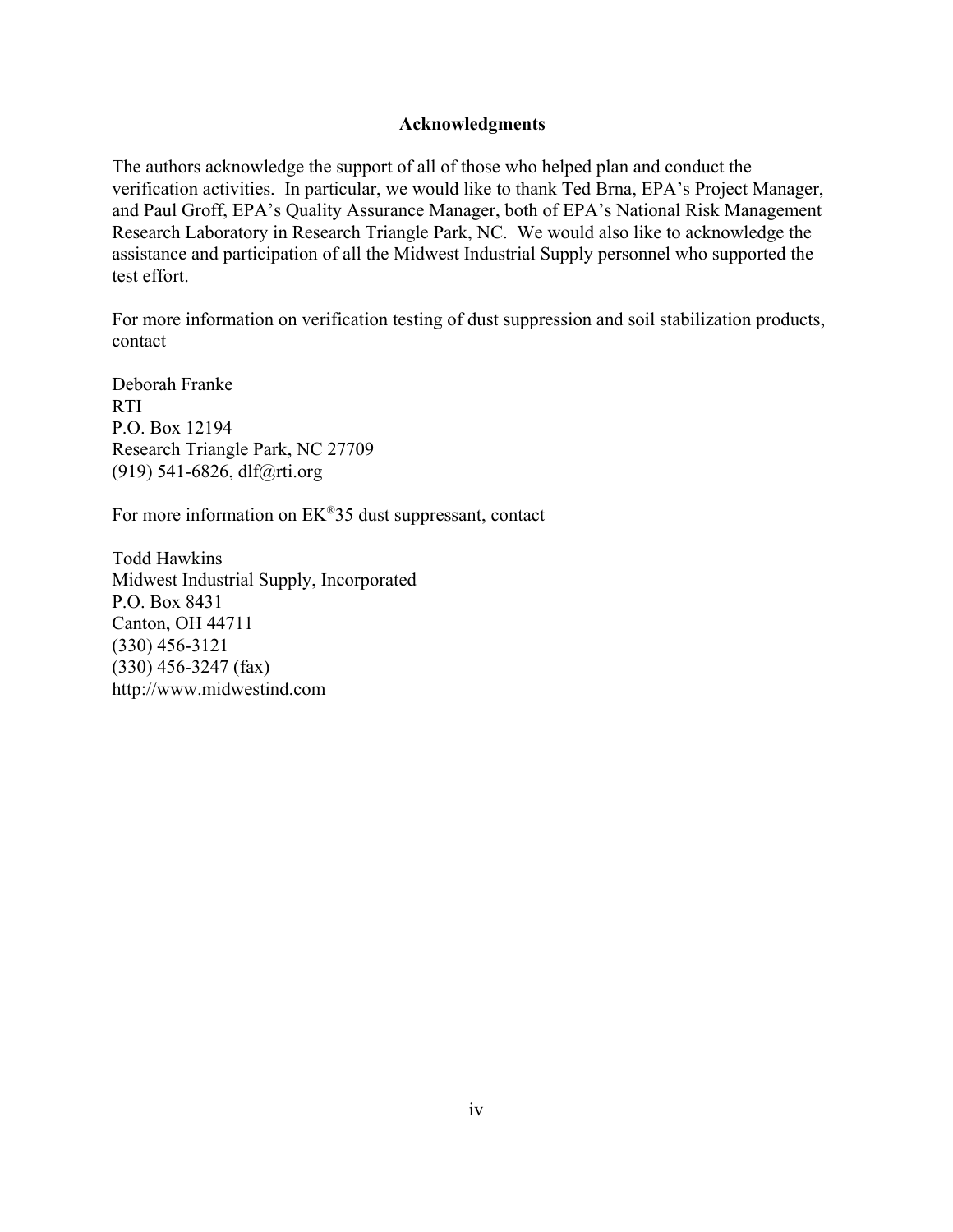#### **Acknowledgments**

The authors acknowledge the support of all of those who helped plan and conduct the verification activities. In particular, we would like to thank Ted Brna, EPA's Project Manager, and Paul Groff, EPA's Quality Assurance Manager, both of EPA's National Risk Management Research Laboratory in Research Triangle Park, NC. We would also like to acknowledge the assistance and participation of all the Midwest Industrial Supply personnel who supported the test effort.

For more information on verification testing of dust suppression and soil stabilization products, contact

Deborah Franke RTI P.O. Box 12194 Research Triangle Park, NC 27709 (919) 541-6826, dlf@rti.org

For more information on EK®35 dust suppressant, contact

Todd Hawkins Midwest Industrial Supply, Incorporated P.O. Box 8431 Canton, OH 44711 (330) 456-3121 (330) 456-3247 (fax) http://www.midwestind.com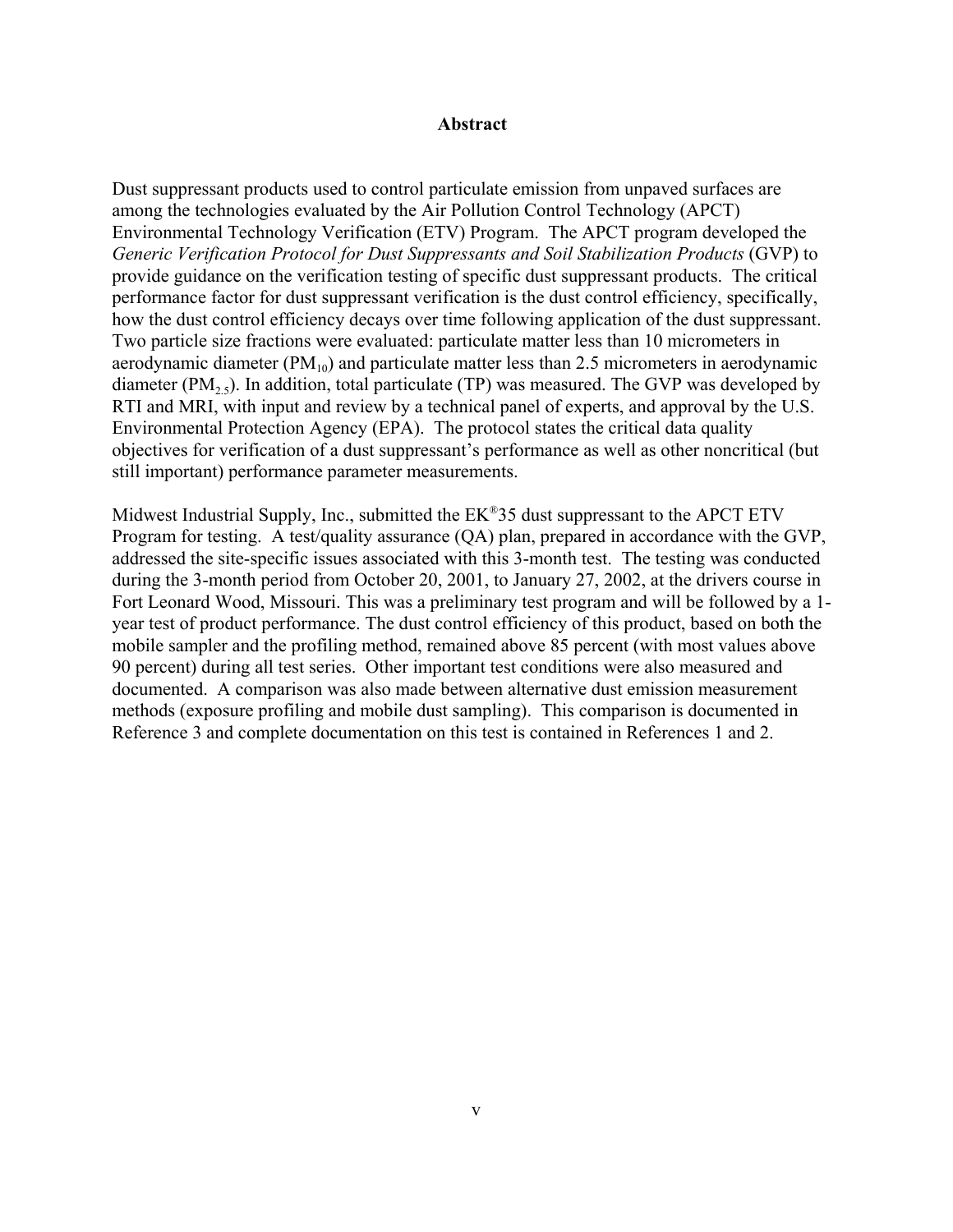#### **Abstract**

Dust suppressant products used to control particulate emission from unpaved surfaces are among the technologies evaluated by the Air Pollution Control Technology (APCT) Environmental Technology Verification (ETV) Program. The APCT program developed the *Generic Verification Protocol for Dust Suppressants and Soil Stabilization Products* (GVP) to provide guidance on the verification testing of specific dust suppressant products. The critical performance factor for dust suppressant verification is the dust control efficiency, specifically, how the dust control efficiency decays over time following application of the dust suppressant. Two particle size fractions were evaluated: particulate matter less than 10 micrometers in aerodynamic diameter  $(PM_{10})$  and particulate matter less than 2.5 micrometers in aerodynamic diameter (PM<sub>2.5</sub>). In addition, total particulate (TP) was measured. The GVP was developed by RTI and MRI, with input and review by a technical panel of experts, and approval by the U.S. Environmental Protection Agency (EPA). The protocol states the critical data quality objectives for verification of a dust suppressant's performance as well as other noncritical (but still important) performance parameter measurements.

Midwest Industrial Supply, Inc., submitted the EK®35 dust suppressant to the APCT ETV Program for testing. A test/quality assurance (QA) plan, prepared in accordance with the GVP, addressed the site-specific issues associated with this 3-month test. The testing was conducted during the 3-month period from October 20, 2001, to January 27, 2002, at the drivers course in Fort Leonard Wood, Missouri. This was a preliminary test program and will be followed by a 1 year test of product performance. The dust control efficiency of this product, based on both the mobile sampler and the profiling method, remained above 85 percent (with most values above 90 percent) during all test series. Other important test conditions were also measured and documented. A comparison was also made between alternative dust emission measurement methods (exposure profiling and mobile dust sampling). This comparison is documented in Reference 3 and complete documentation on this test is contained in References 1 and 2.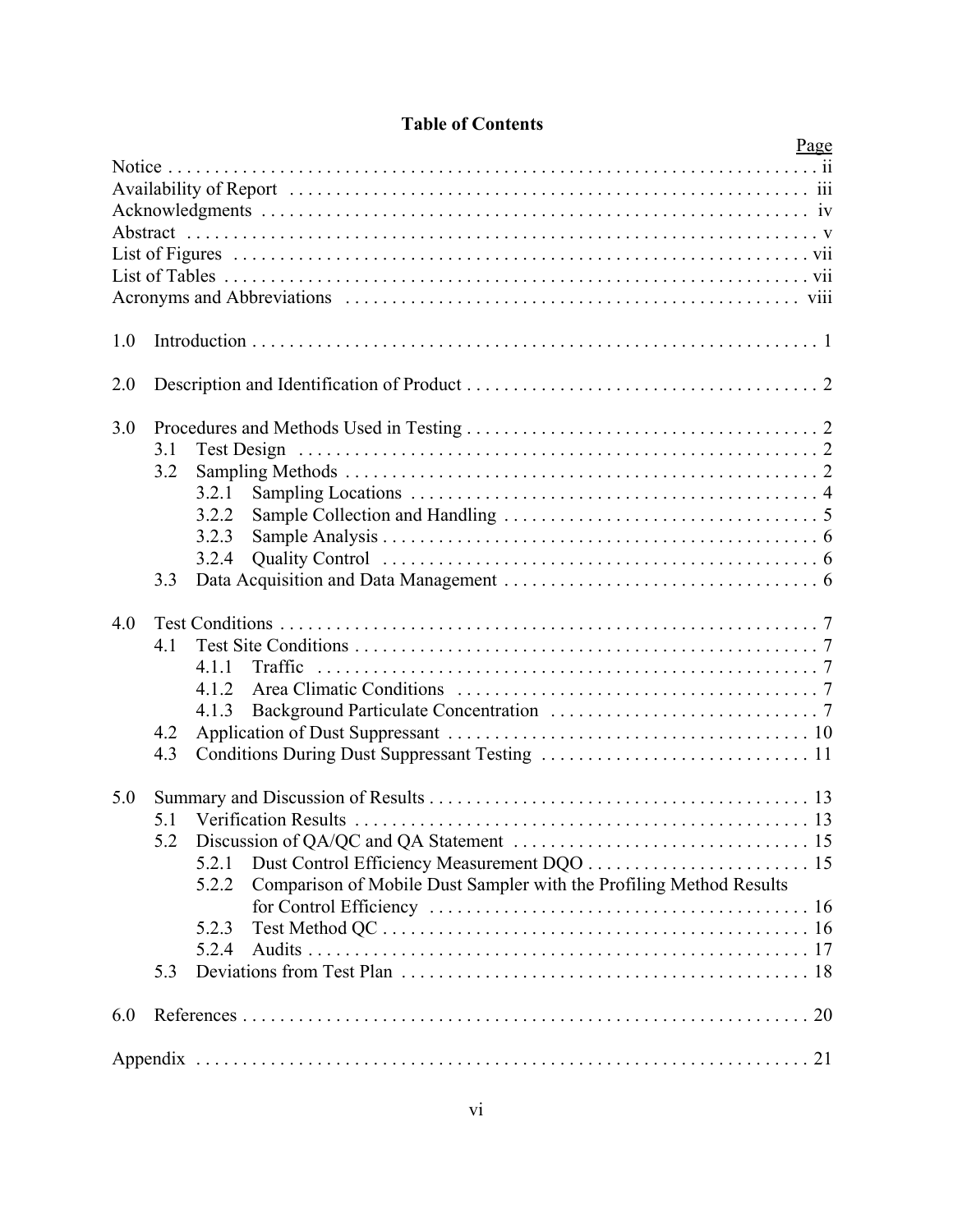|        |     | Page                                                                         |  |
|--------|-----|------------------------------------------------------------------------------|--|
| Notice |     |                                                                              |  |
|        |     |                                                                              |  |
|        |     |                                                                              |  |
|        |     |                                                                              |  |
|        |     |                                                                              |  |
|        |     |                                                                              |  |
|        |     |                                                                              |  |
| 1.0    |     |                                                                              |  |
| 2.0    |     |                                                                              |  |
|        |     |                                                                              |  |
| 3.0    |     |                                                                              |  |
|        | 3.1 | Test Design                                                                  |  |
|        | 3.2 |                                                                              |  |
|        |     | 3.2.1<br>3.2.2                                                               |  |
|        |     | 3.2.3                                                                        |  |
|        |     | 3.2.4                                                                        |  |
|        | 3.3 |                                                                              |  |
| 4.0    |     |                                                                              |  |
|        | 4.1 |                                                                              |  |
|        |     | 4.1.1                                                                        |  |
|        |     | 412                                                                          |  |
|        |     | 4.1.3                                                                        |  |
|        | 4.2 |                                                                              |  |
|        | 4.3 |                                                                              |  |
| 5.0    |     |                                                                              |  |
|        |     |                                                                              |  |
|        | 5.2 |                                                                              |  |
|        |     | 5.2.1                                                                        |  |
|        |     | Comparison of Mobile Dust Sampler with the Profiling Method Results<br>5.2.2 |  |
|        |     | 5.2.3                                                                        |  |
|        |     | 5.2.4                                                                        |  |
|        | 5.3 |                                                                              |  |
| 6.0    |     |                                                                              |  |
|        |     |                                                                              |  |
|        |     |                                                                              |  |

## **Table of Contents**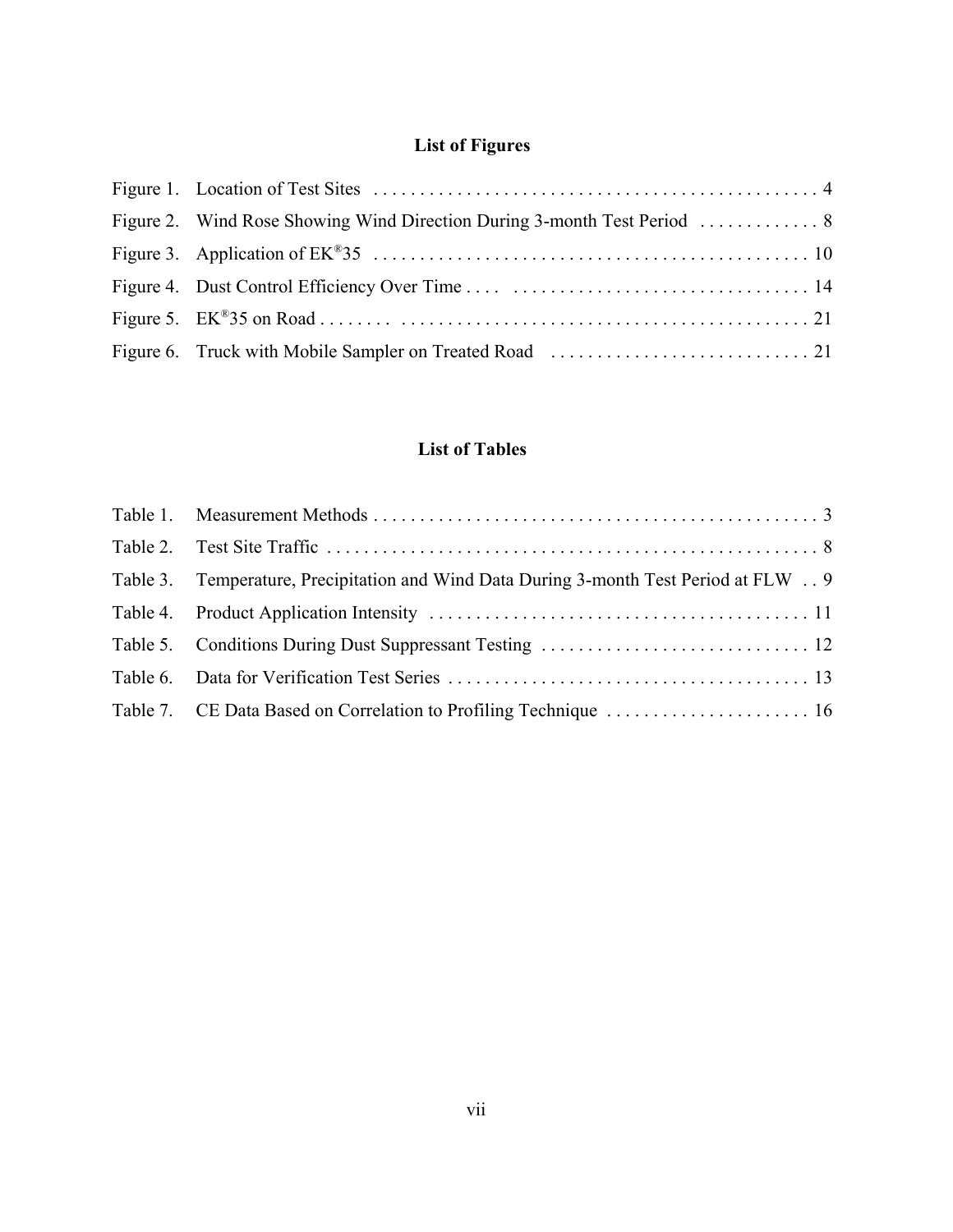## **List of Figures**

## **List of Tables**

| Table 3. Temperature, Precipitation and Wind Data During 3-month Test Period at FLW  9 |  |
|----------------------------------------------------------------------------------------|--|
|                                                                                        |  |
|                                                                                        |  |
|                                                                                        |  |
|                                                                                        |  |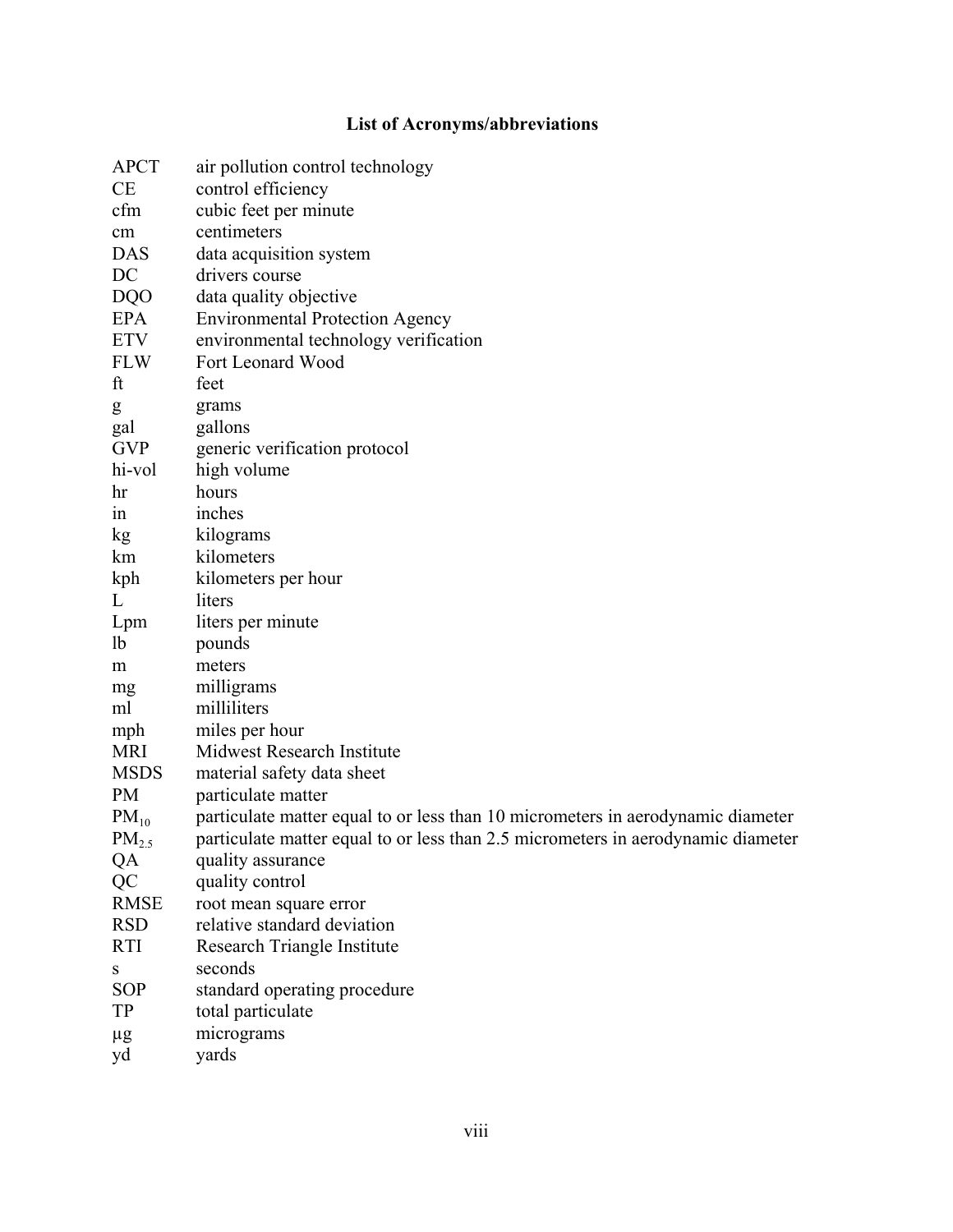## **List of Acronyms/abbreviations**

| <b>APCT</b>    | air pollution control technology                                                 |
|----------------|----------------------------------------------------------------------------------|
| <b>CE</b>      | control efficiency                                                               |
| cfm            | cubic feet per minute                                                            |
| cm             | centimeters                                                                      |
| <b>DAS</b>     | data acquisition system                                                          |
| DC             | drivers course                                                                   |
| <b>DQO</b>     | data quality objective                                                           |
| EPA            | <b>Environmental Protection Agency</b>                                           |
| <b>ETV</b>     | environmental technology verification                                            |
| <b>FLW</b>     | Fort Leonard Wood                                                                |
| ft             | feet                                                                             |
| g              | grams                                                                            |
| gal            | gallons                                                                          |
| <b>GVP</b>     | generic verification protocol                                                    |
| hi-vol         | high volume                                                                      |
| hr             | hours                                                                            |
| 1n             | inches                                                                           |
| kg             | kilograms                                                                        |
| km             | kilometers                                                                       |
| kph            | kilometers per hour                                                              |
| L              | liters                                                                           |
| Lpm            | liters per minute                                                                |
| <sup>1</sup> b | pounds                                                                           |
| m              | meters                                                                           |
| mg             | milligrams                                                                       |
| ml             | milliliters                                                                      |
| mph            | miles per hour                                                                   |
| <b>MRI</b>     | Midwest Research Institute                                                       |
| <b>MSDS</b>    | material safety data sheet                                                       |
| <b>PM</b>      | particulate matter                                                               |
| $PM_{10}$      | particulate matter equal to or less than 10 micrometers in aerodynamic diameter  |
| $PM_{2.5}$     | particulate matter equal to or less than 2.5 micrometers in aerodynamic diameter |
| QA             | quality assurance                                                                |
| QC             | quality control                                                                  |
| <b>RMSE</b>    | root mean square error                                                           |
| <b>RSD</b>     | relative standard deviation                                                      |
| <b>RTI</b>     | Research Triangle Institute                                                      |
| S              | seconds                                                                          |
| <b>SOP</b>     | standard operating procedure                                                     |
| <b>TP</b>      | total particulate                                                                |
| $\mu$ g        | micrograms                                                                       |
| yd             | yards                                                                            |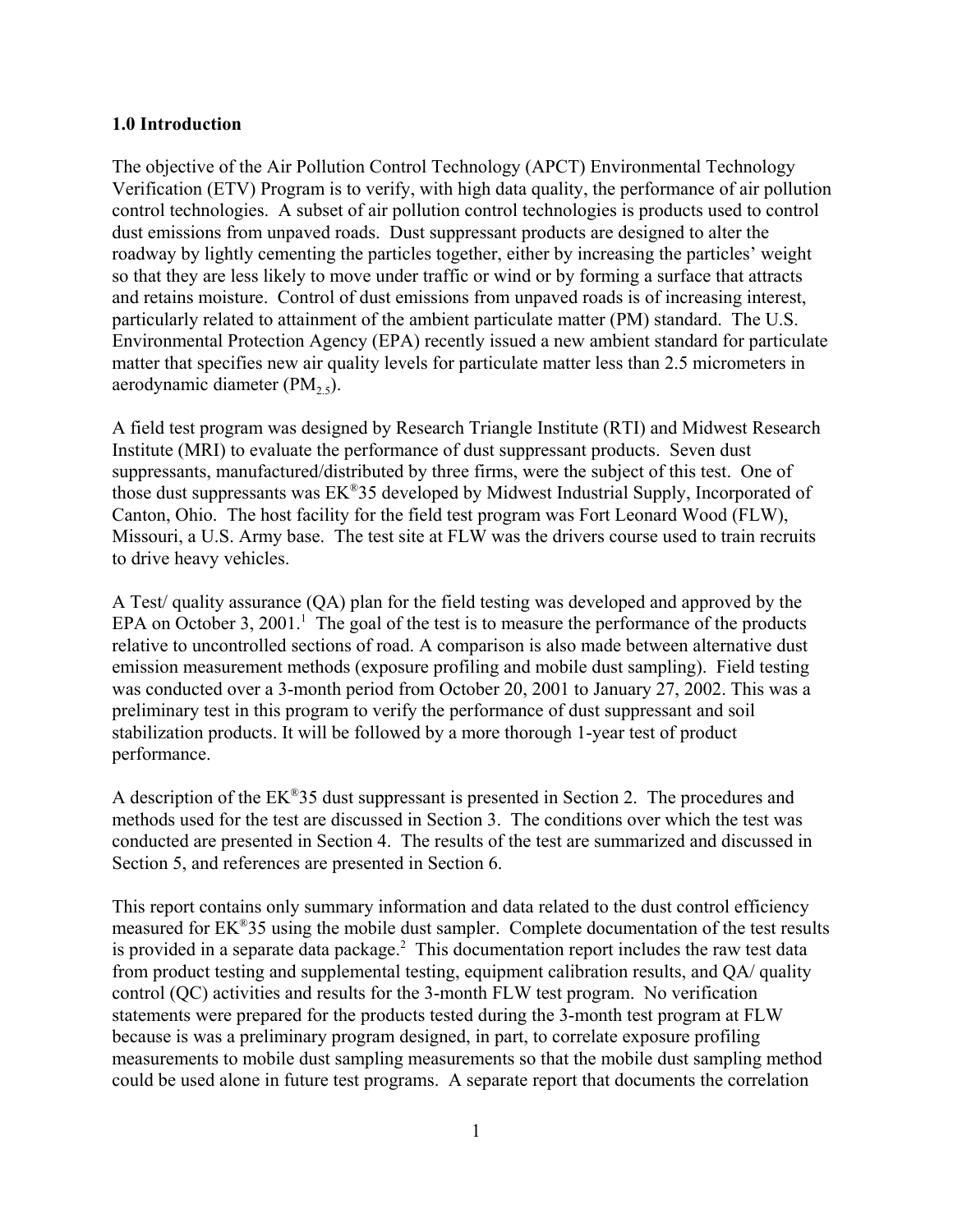#### **1.0 Introduction**

The objective of the Air Pollution Control Technology (APCT) Environmental Technology Verification (ETV) Program is to verify, with high data quality, the performance of air pollution control technologies. A subset of air pollution control technologies is products used to control dust emissions from unpaved roads. Dust suppressant products are designed to alter the roadway by lightly cementing the particles together, either by increasing the particles' weight so that they are less likely to move under traffic or wind or by forming a surface that attracts and retains moisture. Control of dust emissions from unpaved roads is of increasing interest, particularly related to attainment of the ambient particulate matter (PM) standard. The U.S. Environmental Protection Agency (EPA) recently issued a new ambient standard for particulate matter that specifies new air quality levels for particulate matter less than 2.5 micrometers in aerodynamic diameter  $(PM<sub>2.5</sub>)$ .

A field test program was designed by Research Triangle Institute (RTI) and Midwest Research Institute (MRI) to evaluate the performance of dust suppressant products. Seven dust suppressants, manufactured/distributed by three firms, were the subject of this test. One of those dust suppressants was EK®35 developed by Midwest Industrial Supply, Incorporated of Canton, Ohio. The host facility for the field test program was Fort Leonard Wood (FLW), Missouri, a U.S. Army base. The test site at FLW was the drivers course used to train recruits to drive heavy vehicles.

A Test/ quality assurance (QA) plan for the field testing was developed and approved by the EPA on October 3, 2001.<sup>1</sup> The goal of the test is to measure the performance of the products relative to uncontrolled sections of road. A comparison is also made between alternative dust emission measurement methods (exposure profiling and mobile dust sampling). Field testing was conducted over a 3-month period from October 20, 2001 to January 27, 2002. This was a preliminary test in this program to verify the performance of dust suppressant and soil stabilization products. It will be followed by a more thorough 1-year test of product performance.

A description of the EK®35 dust suppressant is presented in Section 2. The procedures and methods used for the test are discussed in Section 3. The conditions over which the test was conducted are presented in Section 4. The results of the test are summarized and discussed in Section 5, and references are presented in Section 6.

This report contains only summary information and data related to the dust control efficiency measured for EK®35 using the mobile dust sampler. Complete documentation of the test results is provided in a separate data package. $^2$  This documentation report includes the raw test data from product testing and supplemental testing, equipment calibration results, and QA/ quality control (QC) activities and results for the 3-month FLW test program. No verification statements were prepared for the products tested during the 3-month test program at FLW because is was a preliminary program designed, in part, to correlate exposure profiling measurements to mobile dust sampling measurements so that the mobile dust sampling method could be used alone in future test programs. A separate report that documents the correlation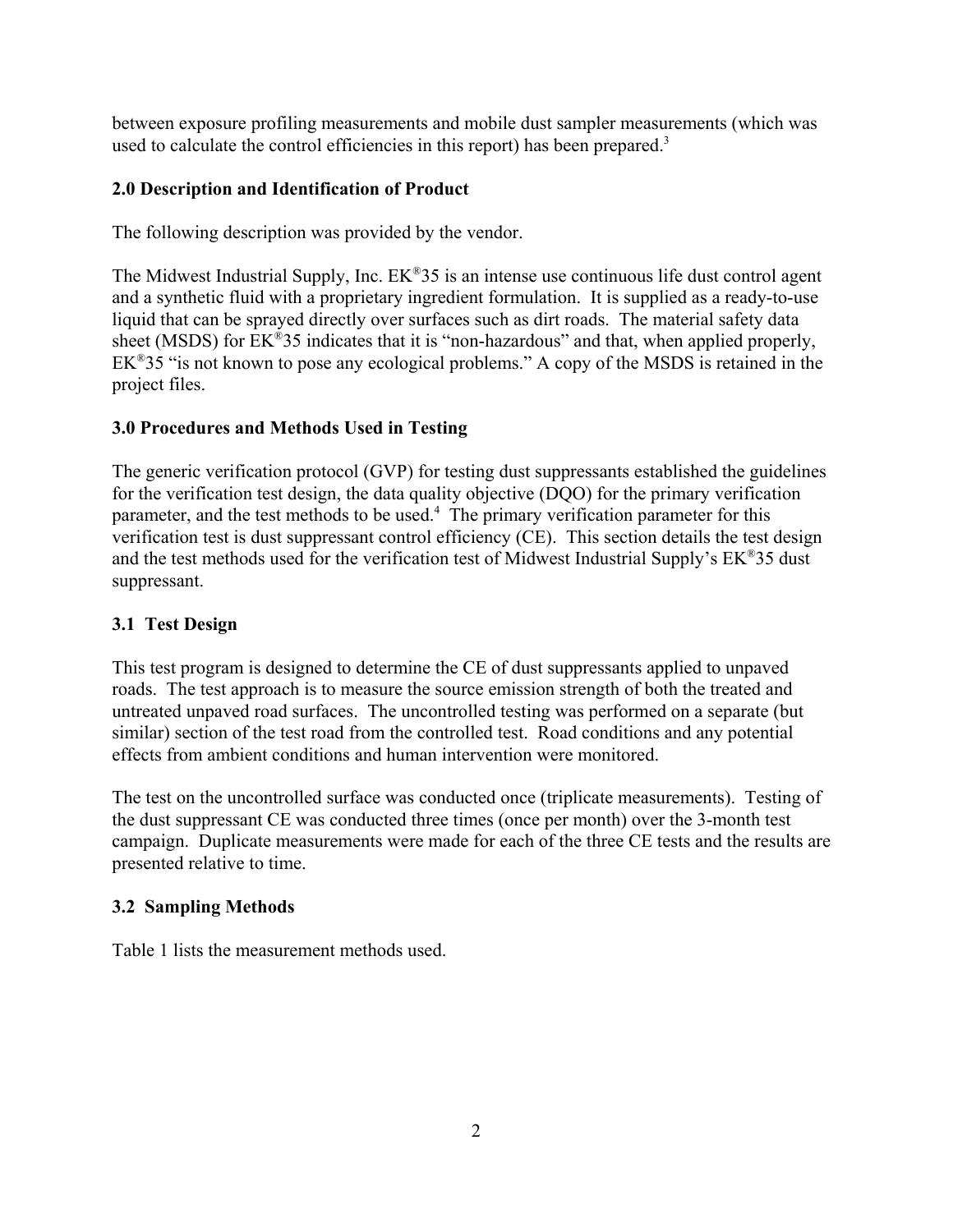between exposure profiling measurements and mobile dust sampler measurements (which was used to calculate the control efficiencies in this report) has been prepared.<sup>3</sup>

## **2.0 Description and Identification of Product**

The following description was provided by the vendor.

The Midwest Industrial Supply, Inc. EK®35 is an intense use continuous life dust control agent and a synthetic fluid with a proprietary ingredient formulation. It is supplied as a ready-to-use liquid that can be sprayed directly over surfaces such as dirt roads. The material safety data sheet (MSDS) for EK<sup>®</sup>35 indicates that it is "non-hazardous" and that, when applied properly,  $EK^{\otimes}35$  "is not known to pose any ecological problems." A copy of the MSDS is retained in the project files.

## **3.0 Procedures and Methods Used in Testing**

The generic verification protocol (GVP) for testing dust suppressants established the guidelines for the verification test design, the data quality objective (DQO) for the primary verification parameter, and the test methods to be used.<sup>4</sup> The primary verification parameter for this verification test is dust suppressant control efficiency (CE). This section details the test design and the test methods used for the verification test of Midwest Industrial Supply's  $EK^{\otimes}35$  dust suppressant.

## **3.1 Test Design**

This test program is designed to determine the CE of dust suppressants applied to unpaved roads. The test approach is to measure the source emission strength of both the treated and untreated unpaved road surfaces. The uncontrolled testing was performed on a separate (but similar) section of the test road from the controlled test. Road conditions and any potential effects from ambient conditions and human intervention were monitored.

The test on the uncontrolled surface was conducted once (triplicate measurements). Testing of the dust suppressant CE was conducted three times (once per month) over the 3-month test campaign. Duplicate measurements were made for each of the three CE tests and the results are presented relative to time.

## **3.2 Sampling Methods**

Table 1 lists the measurement methods used.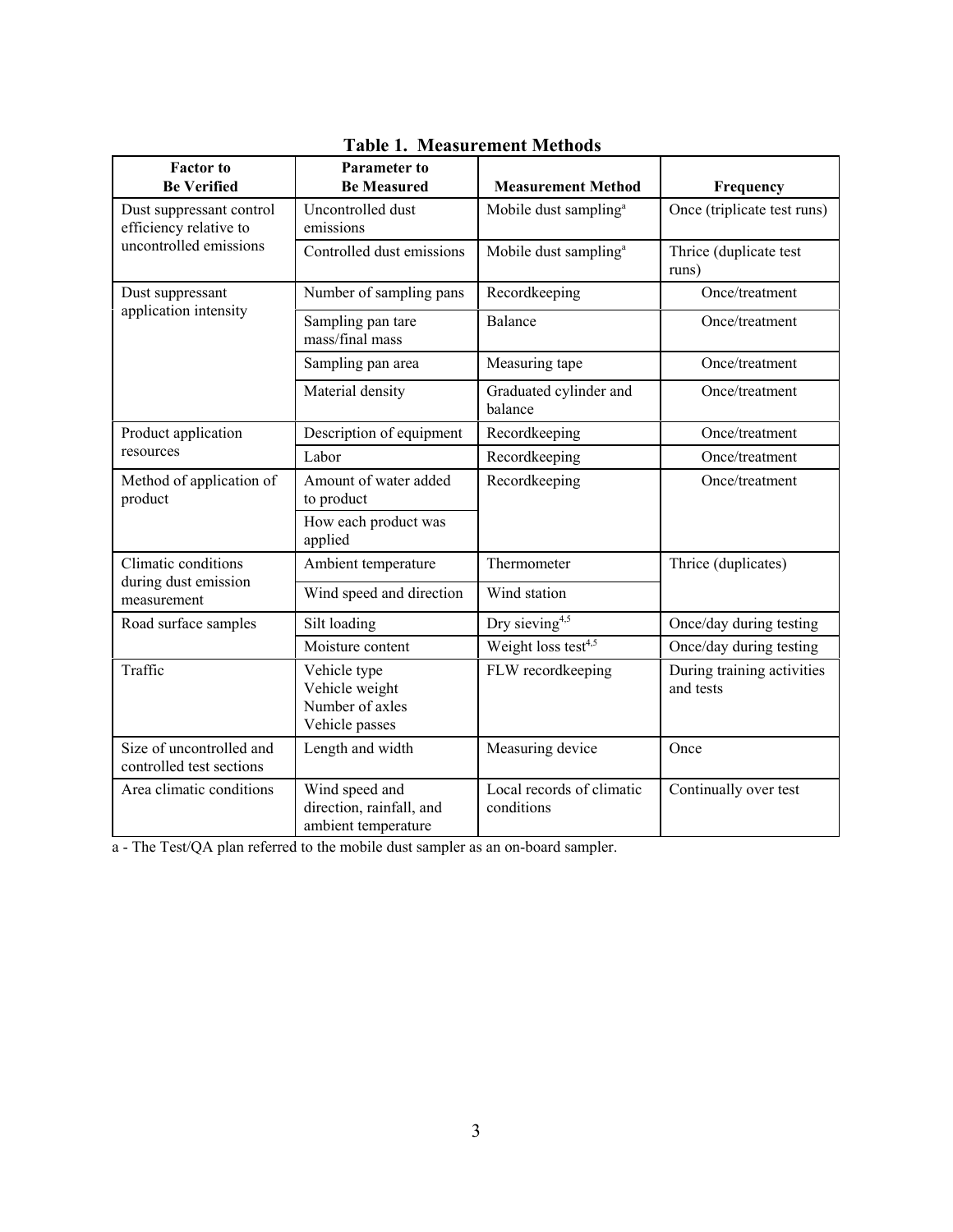| <b>Factor</b> to<br><b>Be Verified</b>               | <b>Parameter to</b><br><b>Be Measured</b>                           | <b>Measurement Method</b>               | Frequency                               |  |
|------------------------------------------------------|---------------------------------------------------------------------|-----------------------------------------|-----------------------------------------|--|
| Dust suppressant control<br>efficiency relative to   | Uncontrolled dust<br>emissions                                      | Mobile dust sampling <sup>a</sup>       | Once (triplicate test runs)             |  |
| uncontrolled emissions                               | Controlled dust emissions                                           | Mobile dust sampling <sup>a</sup>       | Thrice (duplicate test<br>runs)         |  |
| Dust suppressant                                     | Number of sampling pans                                             | Recordkeeping                           | Once/treatment                          |  |
| application intensity                                | Sampling pan tare<br>mass/final mass                                | <b>Balance</b>                          | Once/treatment                          |  |
|                                                      | Sampling pan area                                                   | Measuring tape                          | Once/treatment                          |  |
|                                                      | Material density                                                    | Graduated cylinder and<br>balance       | Once/treatment                          |  |
| Product application                                  | Description of equipment                                            | Recordkeeping                           | Once/treatment                          |  |
| resources                                            | Labor                                                               | Recordkeeping                           | Once/treatment                          |  |
| Method of application of<br>product                  | Amount of water added<br>to product                                 | Recordkeeping                           | Once/treatment                          |  |
|                                                      | How each product was<br>applied                                     |                                         |                                         |  |
| Climatic conditions                                  | Ambient temperature                                                 | Thermometer                             | Thrice (duplicates)                     |  |
| during dust emission<br>measurement                  | Wind speed and direction                                            | Wind station                            |                                         |  |
| Road surface samples                                 | Silt loading                                                        | Dry sieving <sup>4,5</sup>              | Once/day during testing                 |  |
|                                                      | Moisture content                                                    | Weight loss test <sup>4,5</sup>         | Once/day during testing                 |  |
| Traffic                                              | Vehicle type<br>Vehicle weight<br>Number of axles<br>Vehicle passes | FLW recordkeeping                       | During training activities<br>and tests |  |
| Size of uncontrolled and<br>controlled test sections | Length and width                                                    | Measuring device                        | Once                                    |  |
| Area climatic conditions                             | Wind speed and<br>direction, rainfall, and<br>ambient temperature   | Local records of climatic<br>conditions | Continually over test                   |  |

**Table 1. Measurement Methods**

a - The Test/QA plan referred to the mobile dust sampler as an on-board sampler.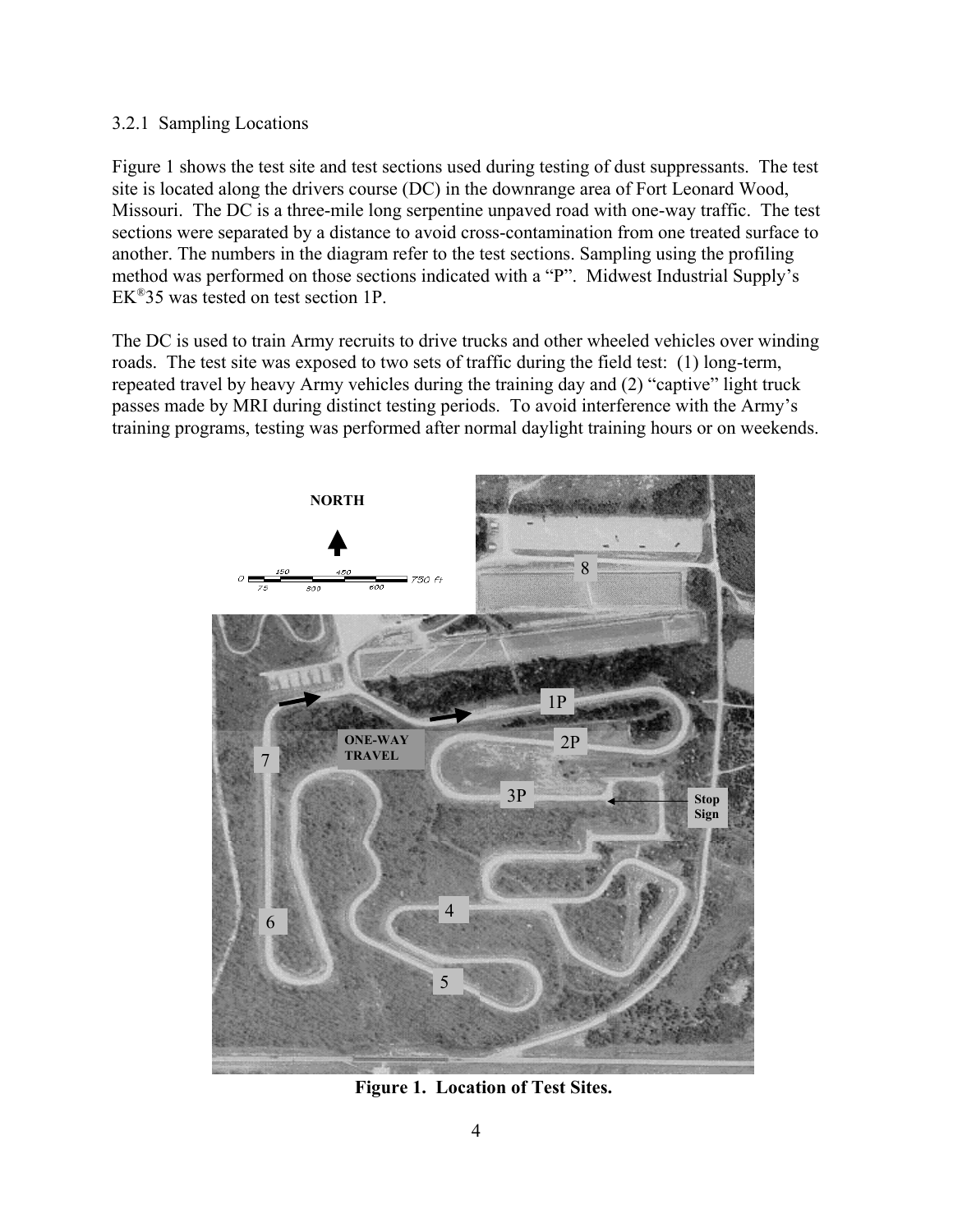#### 3.2.1 Sampling Locations

Figure 1 shows the test site and test sections used during testing of dust suppressants. The test site is located along the drivers course (DC) in the downrange area of Fort Leonard Wood, Missouri. The DC is a three-mile long serpentine unpaved road with one-way traffic. The test sections were separated by a distance to avoid cross-contamination from one treated surface to another. The numbers in the diagram refer to the test sections. Sampling using the profiling method was performed on those sections indicated with a "P". Midwest Industrial Supply's EK®35 was tested on test section 1P.

The DC is used to train Army recruits to drive trucks and other wheeled vehicles over winding roads. The test site was exposed to two sets of traffic during the field test: (1) long-term, repeated travel by heavy Army vehicles during the training day and (2) "captive" light truck passes made by MRI during distinct testing periods. To avoid interference with the Army's training programs, testing was performed after normal daylight training hours or on weekends.



**Figure 1. Location of Test Sites.**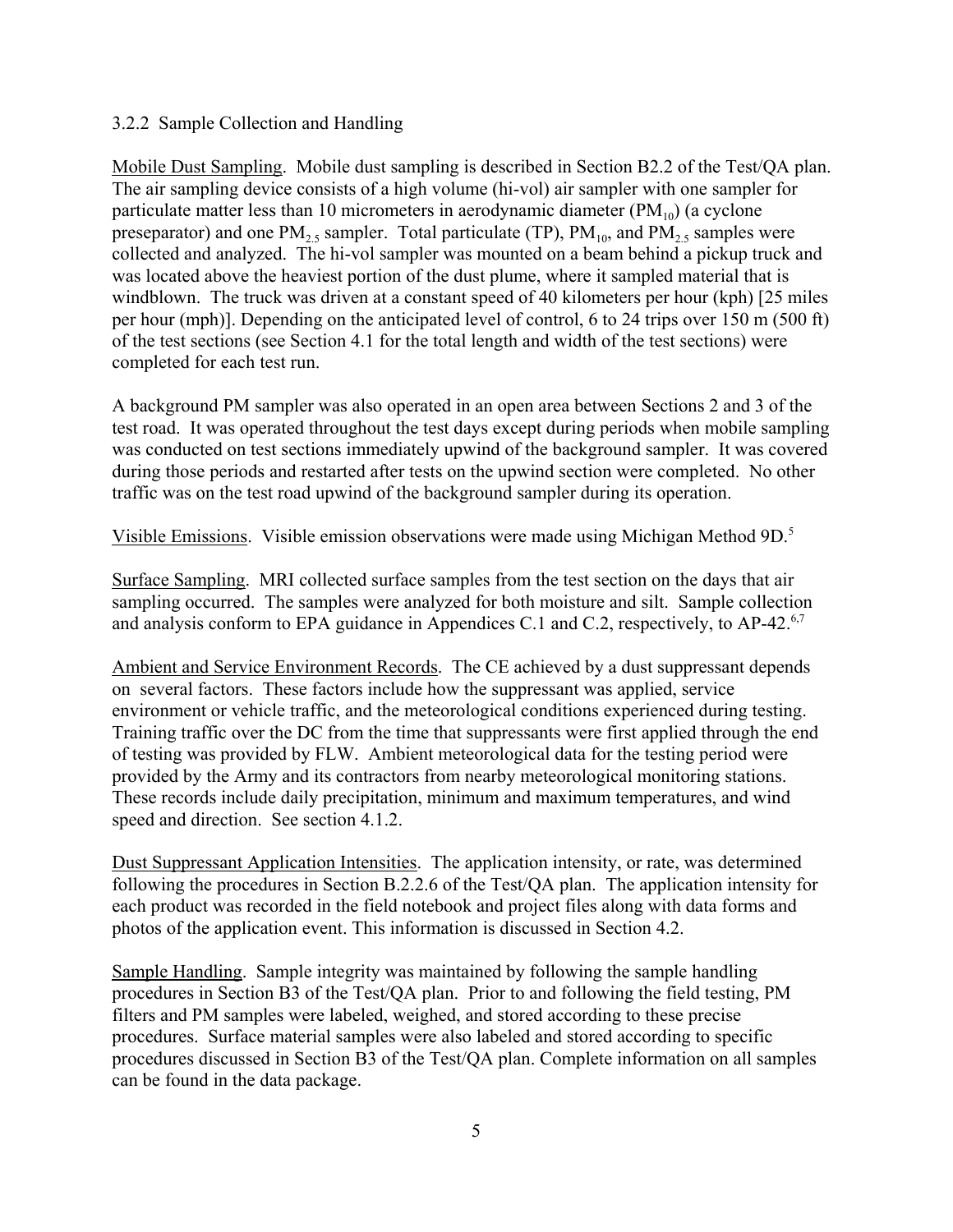#### 3.2.2 Sample Collection and Handling

Mobile Dust Sampling. Mobile dust sampling is described in Section B2.2 of the Test/QA plan. The air sampling device consists of a high volume (hi-vol) air sampler with one sampler for particulate matter less than 10 micrometers in aerodynamic diameter  $(PM_{10})$  (a cyclone preseparator) and one  $PM_2$ , sampler. Total particulate (TP),  $PM_{10}$ , and  $PM_2$ , samples were collected and analyzed. The hi-vol sampler was mounted on a beam behind a pickup truck and was located above the heaviest portion of the dust plume, where it sampled material that is windblown. The truck was driven at a constant speed of 40 kilometers per hour (kph) [25 miles per hour (mph)]. Depending on the anticipated level of control, 6 to 24 trips over 150 m (500 ft) of the test sections (see Section 4.1 for the total length and width of the test sections) were completed for each test run.

A background PM sampler was also operated in an open area between Sections 2 and 3 of the test road. It was operated throughout the test days except during periods when mobile sampling was conducted on test sections immediately upwind of the background sampler. It was covered during those periods and restarted after tests on the upwind section were completed. No other traffic was on the test road upwind of the background sampler during its operation.

Visible Emissions. Visible emission observations were made using Michigan Method 9D.5

Surface Sampling. MRI collected surface samples from the test section on the days that air sampling occurred. The samples were analyzed for both moisture and silt. Sample collection and analysis conform to EPA guidance in Appendices C.1 and C.2, respectively, to AP-42.<sup>6,7</sup>

Ambient and Service Environment Records. The CE achieved by a dust suppressant depends on several factors. These factors include how the suppressant was applied, service environment or vehicle traffic, and the meteorological conditions experienced during testing. Training traffic over the DC from the time that suppressants were first applied through the end of testing was provided by FLW. Ambient meteorological data for the testing period were provided by the Army and its contractors from nearby meteorological monitoring stations. These records include daily precipitation, minimum and maximum temperatures, and wind speed and direction. See section 4.1.2.

Dust Suppressant Application Intensities. The application intensity, or rate, was determined following the procedures in Section B.2.2.6 of the Test/QA plan. The application intensity for each product was recorded in the field notebook and project files along with data forms and photos of the application event. This information is discussed in Section 4.2.

Sample Handling. Sample integrity was maintained by following the sample handling procedures in Section B3 of the Test/QA plan. Prior to and following the field testing, PM filters and PM samples were labeled, weighed, and stored according to these precise procedures. Surface material samples were also labeled and stored according to specific procedures discussed in Section B3 of the Test/QA plan. Complete information on all samples can be found in the data package.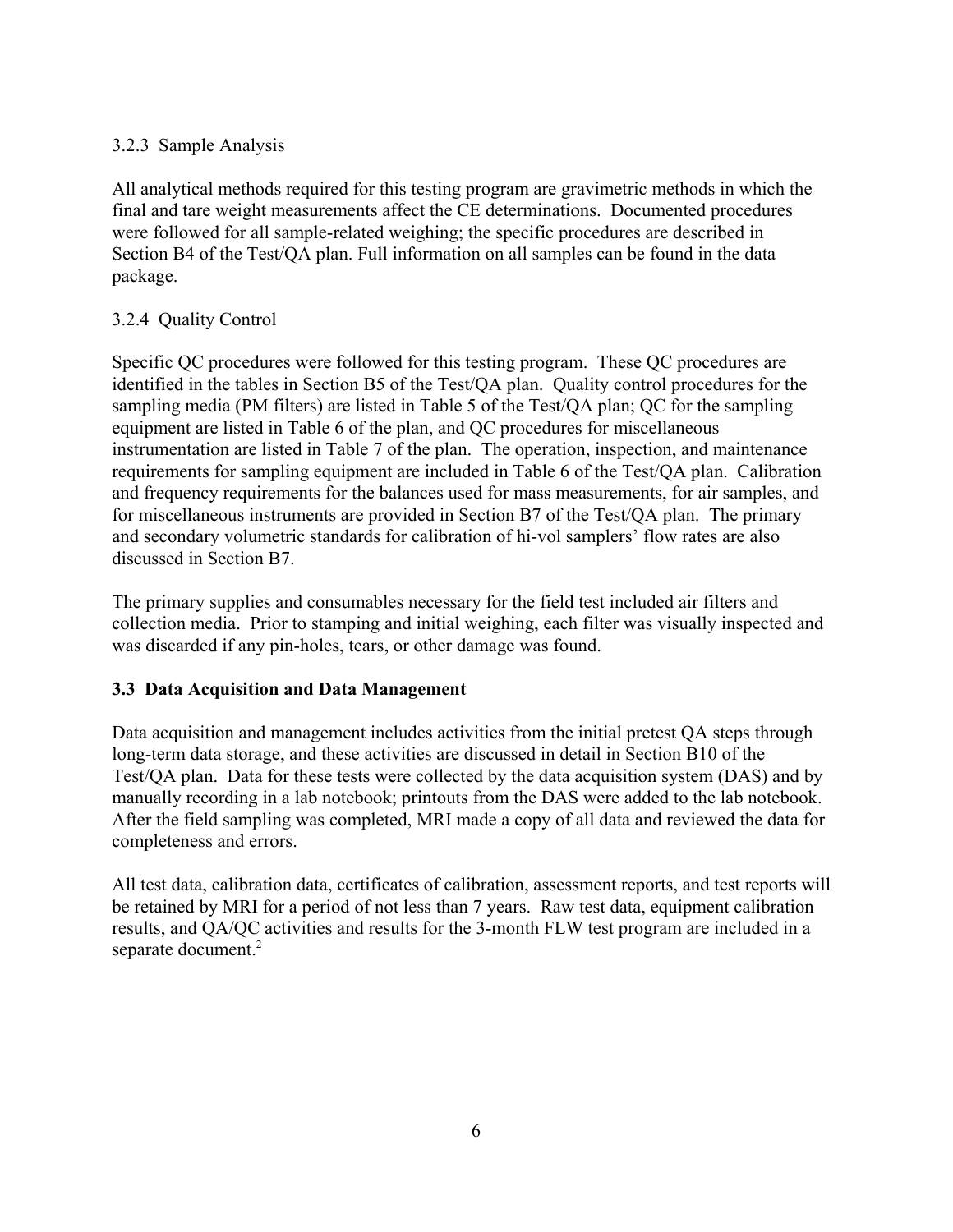## 3.2.3 Sample Analysis

All analytical methods required for this testing program are gravimetric methods in which the final and tare weight measurements affect the CE determinations. Documented procedures were followed for all sample-related weighing; the specific procedures are described in Section B4 of the Test/QA plan. Full information on all samples can be found in the data package.

## 3.2.4 Quality Control

Specific QC procedures were followed for this testing program. These QC procedures are identified in the tables in Section B5 of the Test/QA plan. Quality control procedures for the sampling media (PM filters) are listed in Table 5 of the Test/QA plan; QC for the sampling equipment are listed in Table 6 of the plan, and QC procedures for miscellaneous instrumentation are listed in Table 7 of the plan. The operation, inspection, and maintenance requirements for sampling equipment are included in Table 6 of the Test/QA plan. Calibration and frequency requirements for the balances used for mass measurements, for air samples, and for miscellaneous instruments are provided in Section B7 of the Test/QA plan. The primary and secondary volumetric standards for calibration of hi-vol samplers' flow rates are also discussed in Section B7.

The primary supplies and consumables necessary for the field test included air filters and collection media. Prior to stamping and initial weighing, each filter was visually inspected and was discarded if any pin-holes, tears, or other damage was found.

## **3.3 Data Acquisition and Data Management**

Data acquisition and management includes activities from the initial pretest QA steps through long-term data storage, and these activities are discussed in detail in Section B10 of the Test/QA plan. Data for these tests were collected by the data acquisition system (DAS) and by manually recording in a lab notebook; printouts from the DAS were added to the lab notebook. After the field sampling was completed, MRI made a copy of all data and reviewed the data for completeness and errors.

All test data, calibration data, certificates of calibration, assessment reports, and test reports will be retained by MRI for a period of not less than 7 years. Raw test data, equipment calibration results, and QA/QC activities and results for the 3-month FLW test program are included in a separate document.<sup>2</sup>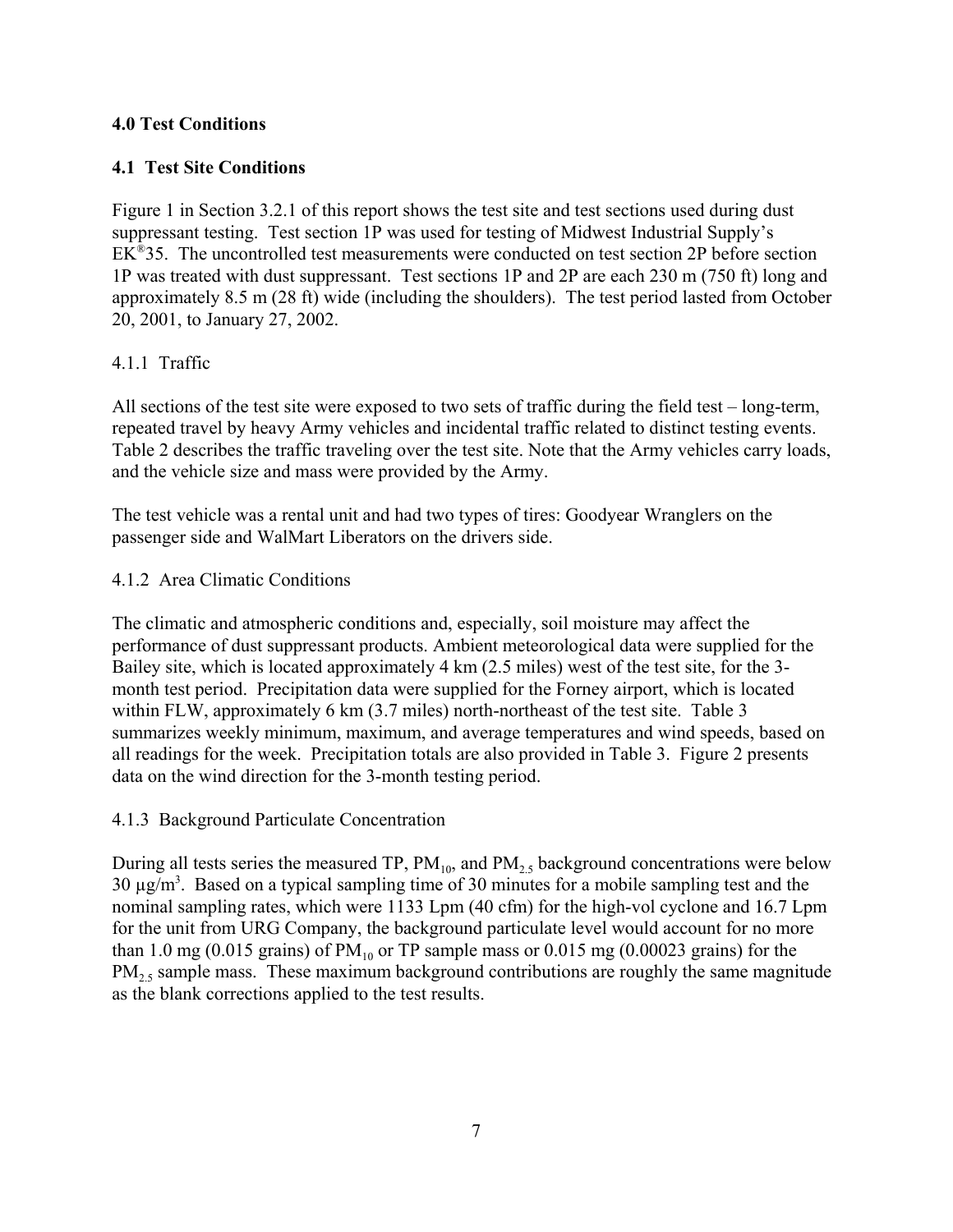## **4.0 Test Conditions**

## **4.1 Test Site Conditions**

Figure 1 in Section 3.2.1 of this report shows the test site and test sections used during dust suppressant testing. Test section 1P was used for testing of Midwest Industrial Supply's EK®35. The uncontrolled test measurements were conducted on test section 2P before section 1P was treated with dust suppressant. Test sections 1P and 2P are each 230 m (750 ft) long and approximately 8.5 m (28 ft) wide (including the shoulders). The test period lasted from October 20, 2001, to January 27, 2002.

## 4.1.1 Traffic

All sections of the test site were exposed to two sets of traffic during the field test – long-term, repeated travel by heavy Army vehicles and incidental traffic related to distinct testing events. Table 2 describes the traffic traveling over the test site. Note that the Army vehicles carry loads, and the vehicle size and mass were provided by the Army.

The test vehicle was a rental unit and had two types of tires: Goodyear Wranglers on the passenger side and WalMart Liberators on the drivers side.

### 4.1.2 Area Climatic Conditions

The climatic and atmospheric conditions and, especially, soil moisture may affect the performance of dust suppressant products. Ambient meteorological data were supplied for the Bailey site, which is located approximately 4 km (2.5 miles) west of the test site, for the 3 month test period. Precipitation data were supplied for the Forney airport, which is located within FLW, approximately 6 km (3.7 miles) north-northeast of the test site. Table 3 summarizes weekly minimum, maximum, and average temperatures and wind speeds, based on all readings for the week. Precipitation totals are also provided in Table 3. Figure 2 presents data on the wind direction for the 3-month testing period.

#### 4.1.3 Background Particulate Concentration

During all tests series the measured TP,  $PM_{10}$ , and  $PM_{2.5}$  background concentrations were below 30  $\mu$ g/m<sup>3</sup>. Based on a typical sampling time of 30 minutes for a mobile sampling test and the nominal sampling rates, which were 1133 Lpm (40 cfm) for the high-vol cyclone and 16.7 Lpm for the unit from URG Company, the background particulate level would account for no more than 1.0 mg (0.015 grains) of  $PM_{10}$  or TP sample mass or 0.015 mg (0.00023 grains) for the  $PM<sub>25</sub>$  sample mass. These maximum background contributions are roughly the same magnitude as the blank corrections applied to the test results.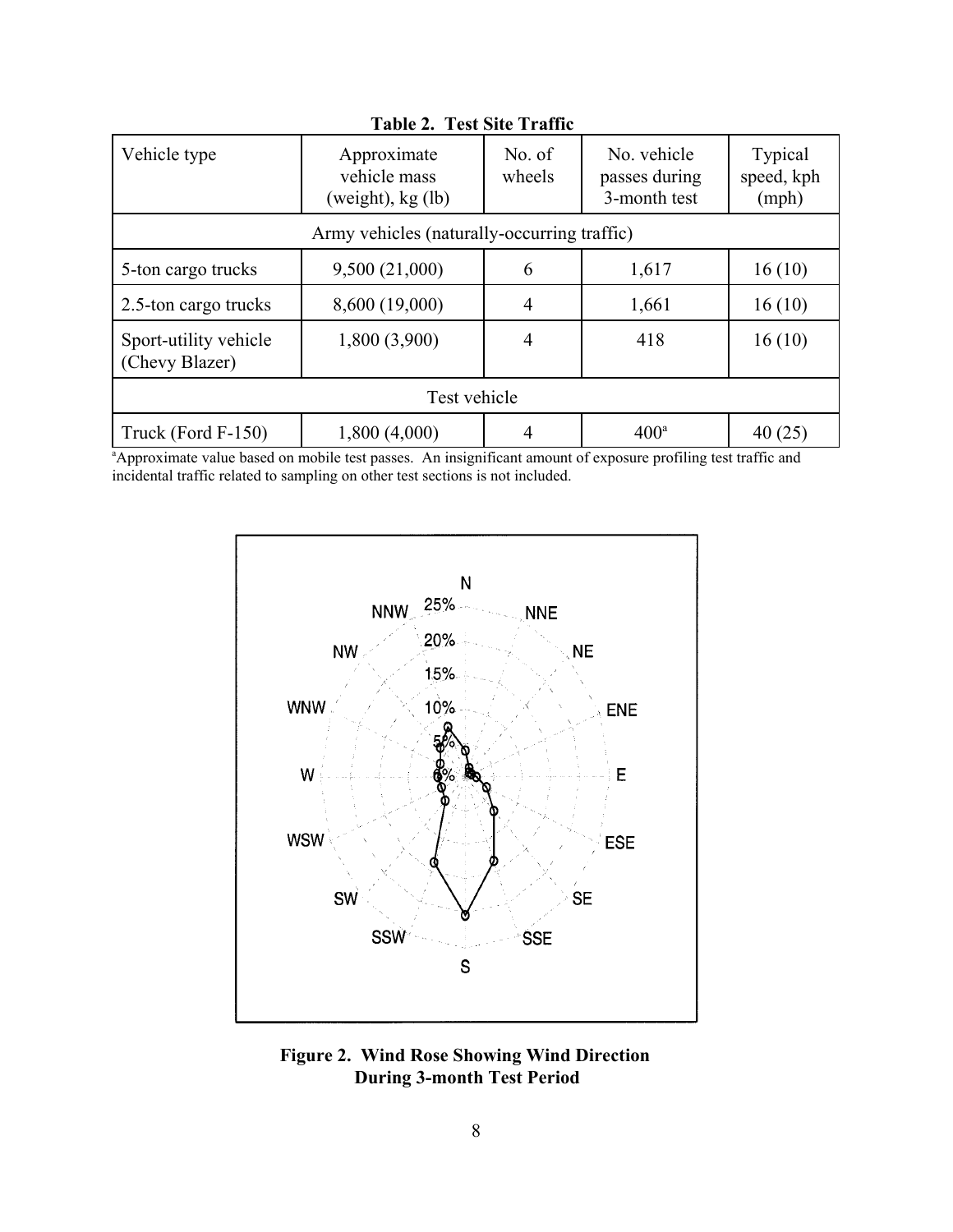| Vehicle type                                | Approximate<br>vehicle mass<br>(weight), $kg$ (lb) | No. of<br>wheels | No. vehicle<br>passes during<br>3-month test | <b>Typical</b><br>speed, kph<br>(mph) |  |  |  |  |  |
|---------------------------------------------|----------------------------------------------------|------------------|----------------------------------------------|---------------------------------------|--|--|--|--|--|
| Army vehicles (naturally-occurring traffic) |                                                    |                  |                                              |                                       |  |  |  |  |  |
| 5-ton cargo trucks                          | 9,500(21,000)                                      | 6                | 1,617                                        | 16(10)                                |  |  |  |  |  |
| 2.5-ton cargo trucks                        | 8,600 (19,000)                                     | 4                | 1,661                                        | 16(10)                                |  |  |  |  |  |
| Sport-utility vehicle<br>(Chevy Blazer)     | 1,800 (3,900)                                      | 4                | 418                                          | 16(10)                                |  |  |  |  |  |
| Test vehicle                                |                                                    |                  |                                              |                                       |  |  |  |  |  |
| Truck (Ford F-150)                          | 1,800 (4,000)                                      | 4                | $400^a$                                      | 40(25)                                |  |  |  |  |  |

**Table 2. Test Site Traffic**

a Approximate value based on mobile test passes. An insignificant amount of exposure profiling test traffic and incidental traffic related to sampling on other test sections is not included.



**Figure 2. Wind Rose Showing Wind Direction During 3-month Test Period**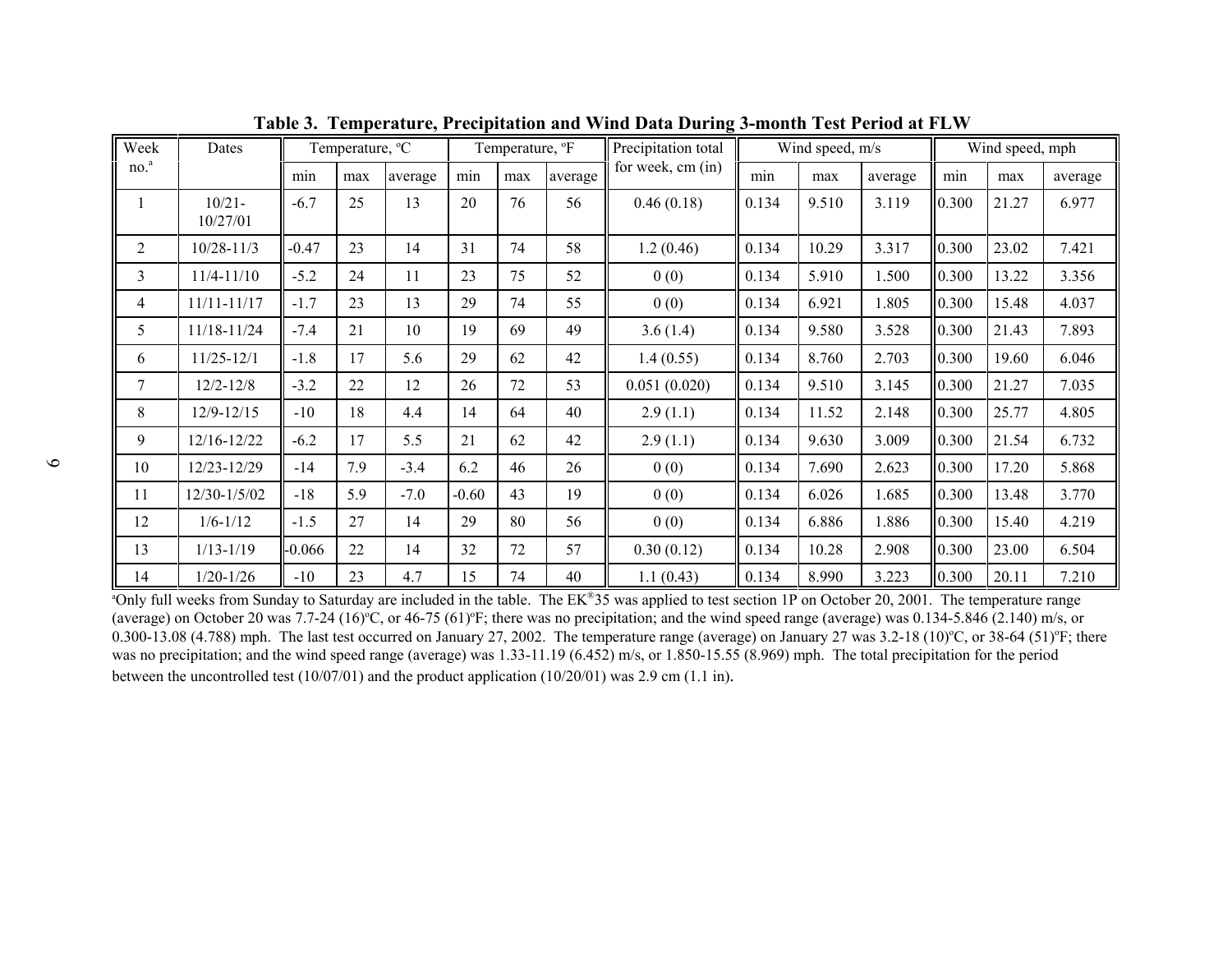| Week             | Dates                 | Temperature, <sup>o</sup> C |     |         | Temperature, <sup>o</sup> F |     |         | Precipitation total | Wind speed, m/s |       |         | Wind speed, mph |       |         |
|------------------|-----------------------|-----------------------------|-----|---------|-----------------------------|-----|---------|---------------------|-----------------|-------|---------|-----------------|-------|---------|
| no. <sup>a</sup> |                       | min                         | max | average | min                         | max | average | for week, cm (in)   | min             | max   | average | min             | max   | average |
|                  | $10/21 -$<br>10/27/01 | $-6.7$                      | 25  | 13      | 20                          | 76  | 56      | 0.46(0.18)          | 0.134           | 9.510 | 3.119   | 0.300           | 21.27 | 6.977   |
| $\overline{2}$   | $10/28 - 11/3$        | $-0.47$                     | 23  | 14      | 31                          | 74  | 58      | 1.2(0.46)           | 0.134           | 10.29 | 3.317   | 0.300           | 23.02 | 7.421   |
| 3                | $11/4 - 11/10$        | $-5.2$                      | 24  | 11      | 23                          | 75  | 52      | 0(0)                | 0.134           | 5.910 | 1.500   | 0.300           | 13.22 | 3.356   |
| 4                | $11/11 - 11/17$       | $-1.7$                      | 23  | 13      | 29                          | 74  | 55      | 0(0)                | 0.134           | 6.921 | 1.805   | 0.300           | 15.48 | 4.037   |
| 5                | 11/18-11/24           | $-7.4$                      | 21  | 10      | 19                          | 69  | 49      | 3.6(1.4)            | 0.134           | 9.580 | 3.528   | 0.300           | 21.43 | 7.893   |
| 6                | $11/25 - 12/1$        | $-1.8$                      | 17  | 5.6     | 29                          | 62  | 42      | 1.4(0.55)           | 0.134           | 8.760 | 2.703   | 0.300           | 19.60 | 6.046   |
| 7                | $12/2 - 12/8$         | $-3.2$                      | 22  | 12      | 26                          | 72  | 53      | 0.051(0.020)        | 0.134           | 9.510 | 3.145   | 0.300           | 21.27 | 7.035   |
| 8                | $12/9 - 12/15$        | $-10$                       | 18  | 4.4     | 14                          | 64  | 40      | 2.9(1.1)            | 0.134           | 11.52 | 2.148   | 0.300           | 25.77 | 4.805   |
| 9                | 12/16-12/22           | $-6.2$                      | 17  | 5.5     | 21                          | 62  | 42      | 2.9(1.1)            | 0.134           | 9.630 | 3.009   | 0.300           | 21.54 | 6.732   |
| 10               | 12/23-12/29           | $-14$                       | 7.9 | $-3.4$  | 6.2                         | 46  | 26      | 0(0)                | 0.134           | 7.690 | 2.623   | 0.300           | 17.20 | 5.868   |
| 11               | $12/30 - 1/5/02$      | $-18$                       | 5.9 | $-7.0$  | $-0.60$                     | 43  | 19      | 0(0)                | 0.134           | 6.026 | 1.685   | 0.300           | 13.48 | 3.770   |
| 12               | $1/6 - 1/12$          | $-1.5$                      | 27  | 14      | 29                          | 80  | 56      | 0(0)                | 0.134           | 6.886 | 1.886   | 0.300           | 15.40 | 4.219   |
| 13               | $1/13 - 1/19$         | $-0.066$                    | 22  | 14      | 32                          | 72  | 57      | 0.30(0.12)          | 0.134           | 10.28 | 2.908   | 0.300           | 23.00 | 6.504   |
| 14               | $1/20 - 1/26$         | $-10$                       | 23  | 4.7     | 15                          | 74  | 40      | 1.1(0.43)           | 0.134           | 8.990 | 3.223   | 0.300           | 20.11 | 7.210   |

**Table 3. Temperature, Precipitation and Wind Data During 3-month Test Period at FLW**

<sup>a</sup>Only full weeks from Sunday to Saturday are included in the table. The EK®35 was applied to test section 1P on October 20, 2001. The temperature range (average) on October 20 was 7.7-24 (16)<sup>o</sup>C, or 46-75 (61)<sup>o</sup>F; there was no precipitation; and the wind speed range (average) was 0.134-5.846 (2.140) m/s, or 0.300-13.08 (4.788) mph. The last test occurred on January 27, 2002. The temperature range (average) on January 27 was  $3.2-18$  (10)°C, or  $38-64$  (51)°F; there was no precipitation; and the wind speed range (average) was 1.33-11.19 (6.452) m/s, or 1.850-15.55 (8.969) mph. The total precipitation for the period between the uncontrolled test (10/07/01) and the product application (10/20/01) was 2.9 cm (1.1 in).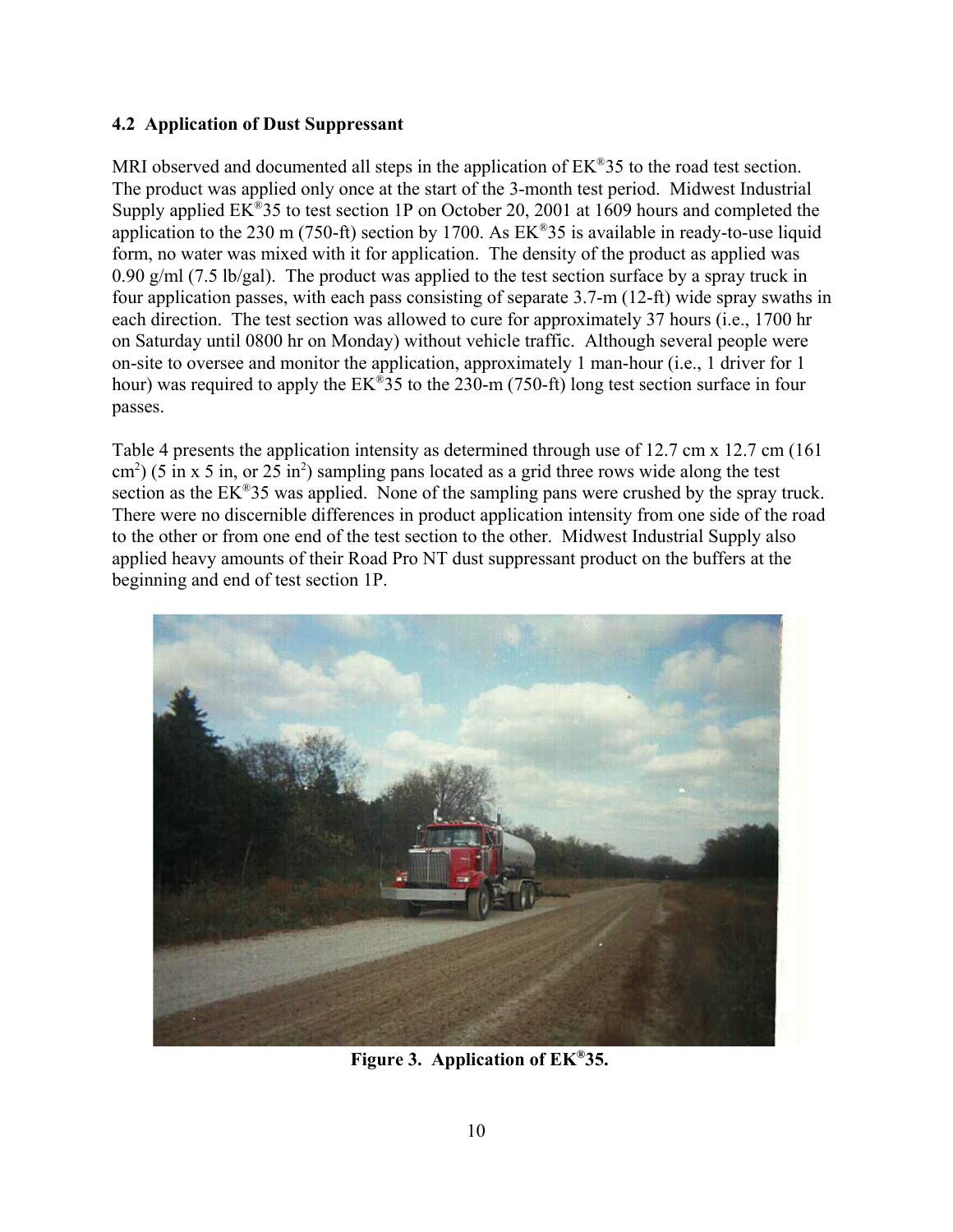## **4.2 Application of Dust Suppressant**

MRI observed and documented all steps in the application of  $EK^{\otimes}35$  to the road test section. The product was applied only once at the start of the 3-month test period. Midwest Industrial Supply applied EK®35 to test section 1P on October 20, 2001 at 1609 hours and completed the application to the 230 m (750-ft) section by 1700. As  $EK^{\otimes}35$  is available in ready-to-use liquid form, no water was mixed with it for application. The density of the product as applied was 0.90 g/ml (7.5 lb/gal). The product was applied to the test section surface by a spray truck in four application passes, with each pass consisting of separate 3.7-m (12-ft) wide spray swaths in each direction. The test section was allowed to cure for approximately 37 hours (i.e., 1700 hr on Saturday until 0800 hr on Monday) without vehicle traffic. Although several people were on-site to oversee and monitor the application, approximately 1 man-hour (i.e., 1 driver for 1 hour) was required to apply the EK<sup>®</sup>35 to the 230-m (750-ft) long test section surface in four passes.

Table 4 presents the application intensity as determined through use of 12.7 cm x 12.7 cm (161)  $\text{cm}^2$ ) (5 in x 5 in, or 25 in<sup>2</sup>) sampling pans located as a grid three rows wide along the test section as the EK<sup>®</sup>35 was applied. None of the sampling pans were crushed by the spray truck. There were no discernible differences in product application intensity from one side of the road to the other or from one end of the test section to the other. Midwest Industrial Supply also applied heavy amounts of their Road Pro NT dust suppressant product on the buffers at the beginning and end of test section 1P.



**Figure 3. Application of EK®35.**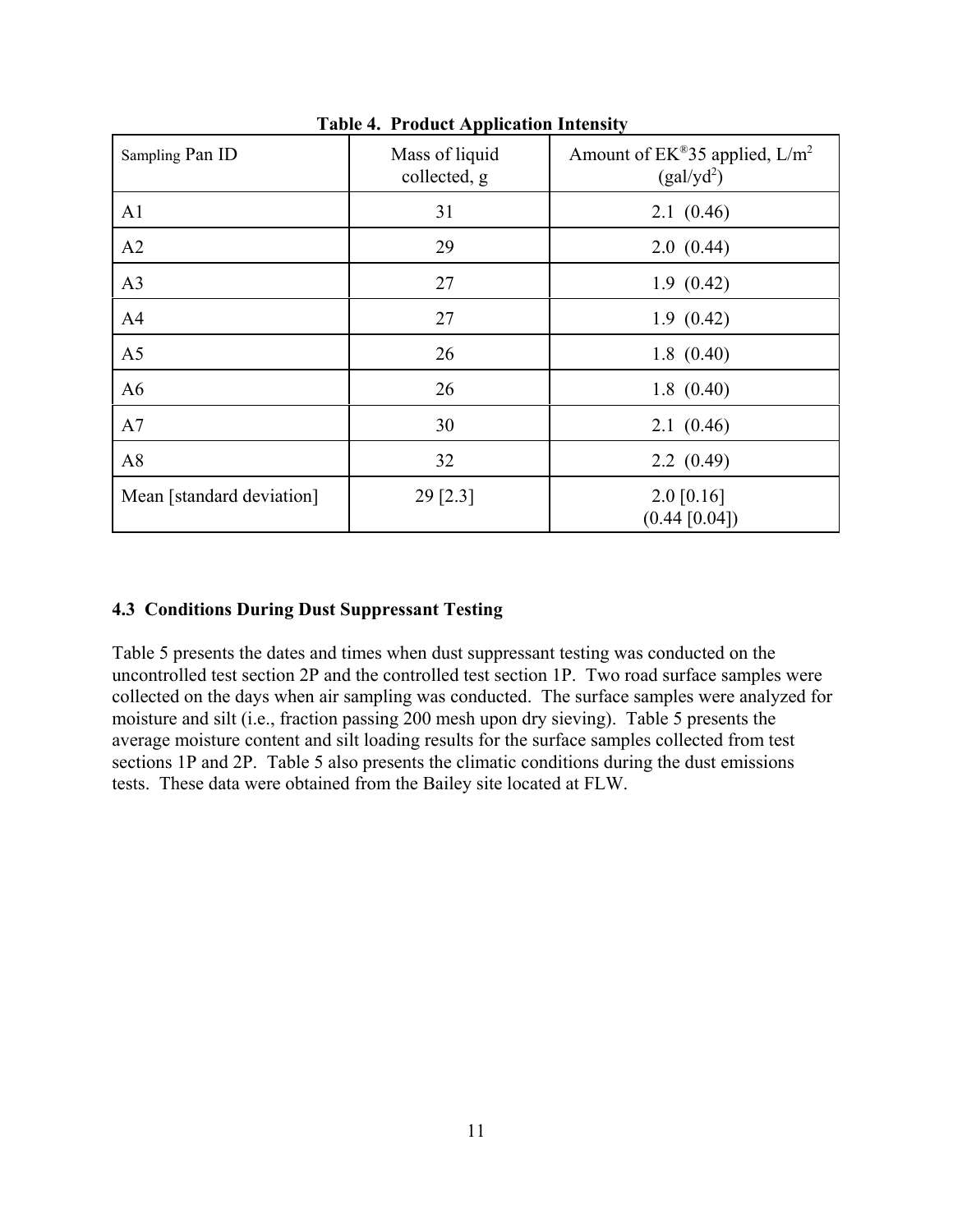| Sampling Pan ID           | Mass of liquid<br>collected, g | Amount of $EK^{\omega}35$ applied, $L/m^2$<br>(gal/yd <sup>2</sup> ) |
|---------------------------|--------------------------------|----------------------------------------------------------------------|
| A1                        | 31                             | 2.1(0.46)                                                            |
| A2                        | 29                             | 2.0(0.44)                                                            |
| A3                        | 27                             | 1.9(0.42)                                                            |
| A <sub>4</sub>            | 27                             | 1.9(0.42)                                                            |
| A <sub>5</sub>            | 26                             | 1.8(0.40)                                                            |
| A6                        | 26                             | 1.8(0.40)                                                            |
| A7                        | 30                             | 2.1(0.46)                                                            |
| A8                        | 32                             | 2.2(0.49)                                                            |
| Mean [standard deviation] | $29$ [2.3]                     | $2.0$ [0.16]<br>(0.44 [0.04])                                        |

**Table 4. Product Application Intensity**

#### **4.3 Conditions During Dust Suppressant Testing**

Table 5 presents the dates and times when dust suppressant testing was conducted on the uncontrolled test section 2P and the controlled test section 1P. Two road surface samples were collected on the days when air sampling was conducted. The surface samples were analyzed for moisture and silt (i.e., fraction passing 200 mesh upon dry sieving). Table 5 presents the average moisture content and silt loading results for the surface samples collected from test sections 1P and 2P. Table 5 also presents the climatic conditions during the dust emissions tests. These data were obtained from the Bailey site located at FLW.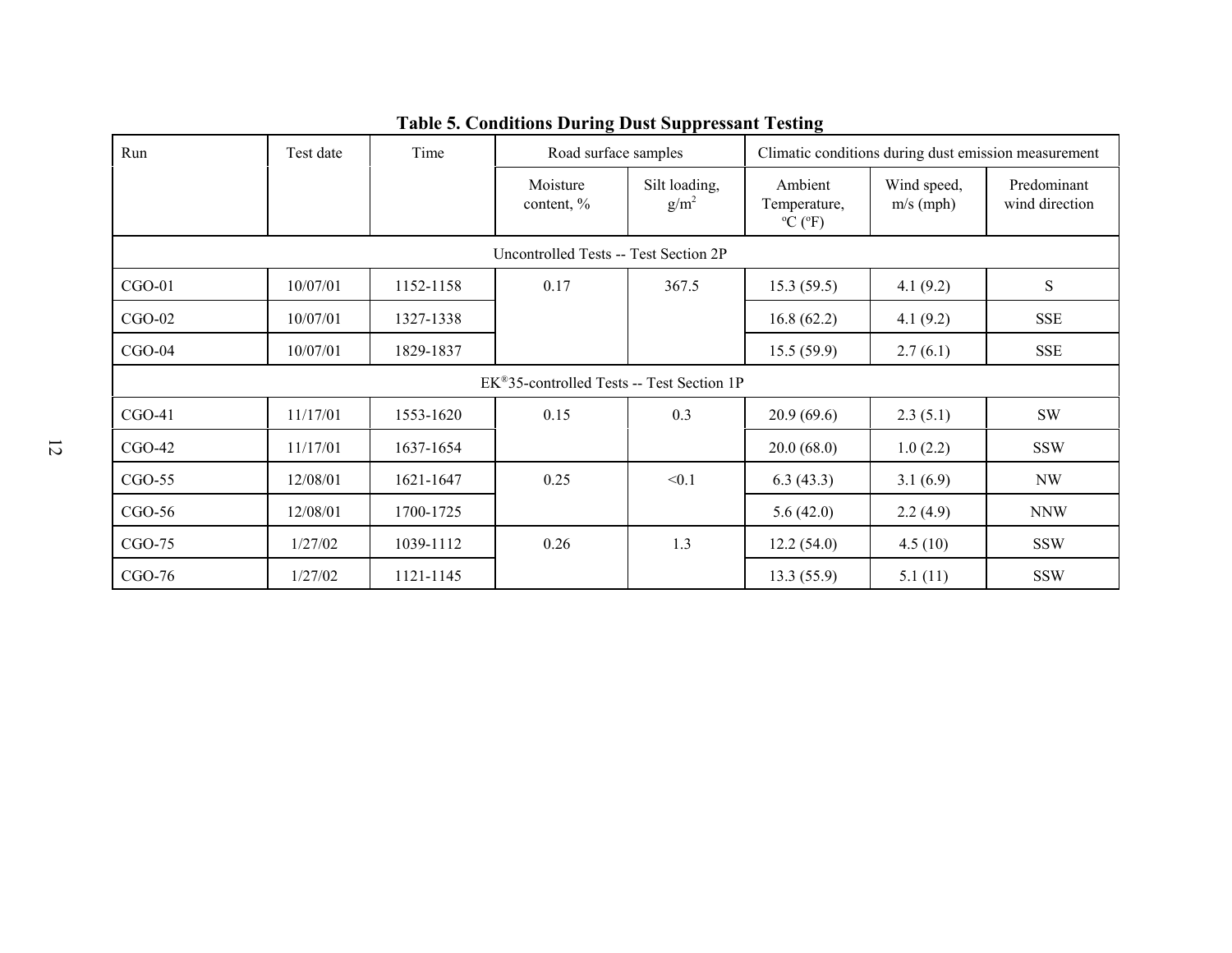| Run                                   | Test date | Time      | Road surface samples                                 |                          | Climatic conditions during dust emission measurement |                            |                               |  |  |
|---------------------------------------|-----------|-----------|------------------------------------------------------|--------------------------|------------------------------------------------------|----------------------------|-------------------------------|--|--|
|                                       |           |           | Moisture<br>content, %                               | Silt loading,<br>$g/m^2$ | Ambient<br>Temperature,<br>$\rm{^oC}$ ( $\rm{^oF}$ ) | Wind speed,<br>$m/s$ (mph) | Predominant<br>wind direction |  |  |
| Uncontrolled Tests -- Test Section 2P |           |           |                                                      |                          |                                                      |                            |                               |  |  |
| $CGO-01$                              | 10/07/01  | 1152-1158 | 0.17                                                 | 367.5                    | 15.3(59.5)                                           | 4.1(9.2)                   | ${\bf S}$                     |  |  |
| $CGO-02$                              | 10/07/01  | 1327-1338 |                                                      |                          | 16.8(62.2)                                           | 4.1(9.2)                   | <b>SSE</b>                    |  |  |
| $CGO-04$                              | 10/07/01  | 1829-1837 |                                                      |                          | 15.5(59.9)                                           | 2.7(6.1)                   | <b>SSE</b>                    |  |  |
|                                       |           |           | $EK^{\omega}$ 35-controlled Tests -- Test Section 1P |                          |                                                      |                            |                               |  |  |
| $CGO-41$                              | 11/17/01  | 1553-1620 | 0.15                                                 | 0.3                      | 20.9(69.6)                                           | 2.3(5.1)                   | SW                            |  |  |
| $CGO-42$                              | 11/17/01  | 1637-1654 |                                                      |                          | 20.0(68.0)                                           | 1.0(2.2)                   | <b>SSW</b>                    |  |  |
| $CGO-55$                              | 12/08/01  | 1621-1647 | 0.25                                                 | < 0.1                    | 6.3(43.3)                                            | 3.1(6.9)                   | NW                            |  |  |
| $CGO-56$                              | 12/08/01  | 1700-1725 |                                                      |                          | 5.6(42.0)                                            | 2.2(4.9)                   | <b>NNW</b>                    |  |  |
| $CGO-75$                              | 1/27/02   | 1039-1112 | 0.26                                                 | 1.3                      | 12.2(54.0)                                           | 4.5(10)                    | <b>SSW</b>                    |  |  |
| $CGO-76$                              | 1/27/02   | 1121-1145 |                                                      |                          | 13.3(55.9)                                           | 5.1(11)                    | <b>SSW</b>                    |  |  |

## **Table 5. Conditions During Dust Suppressant Testing**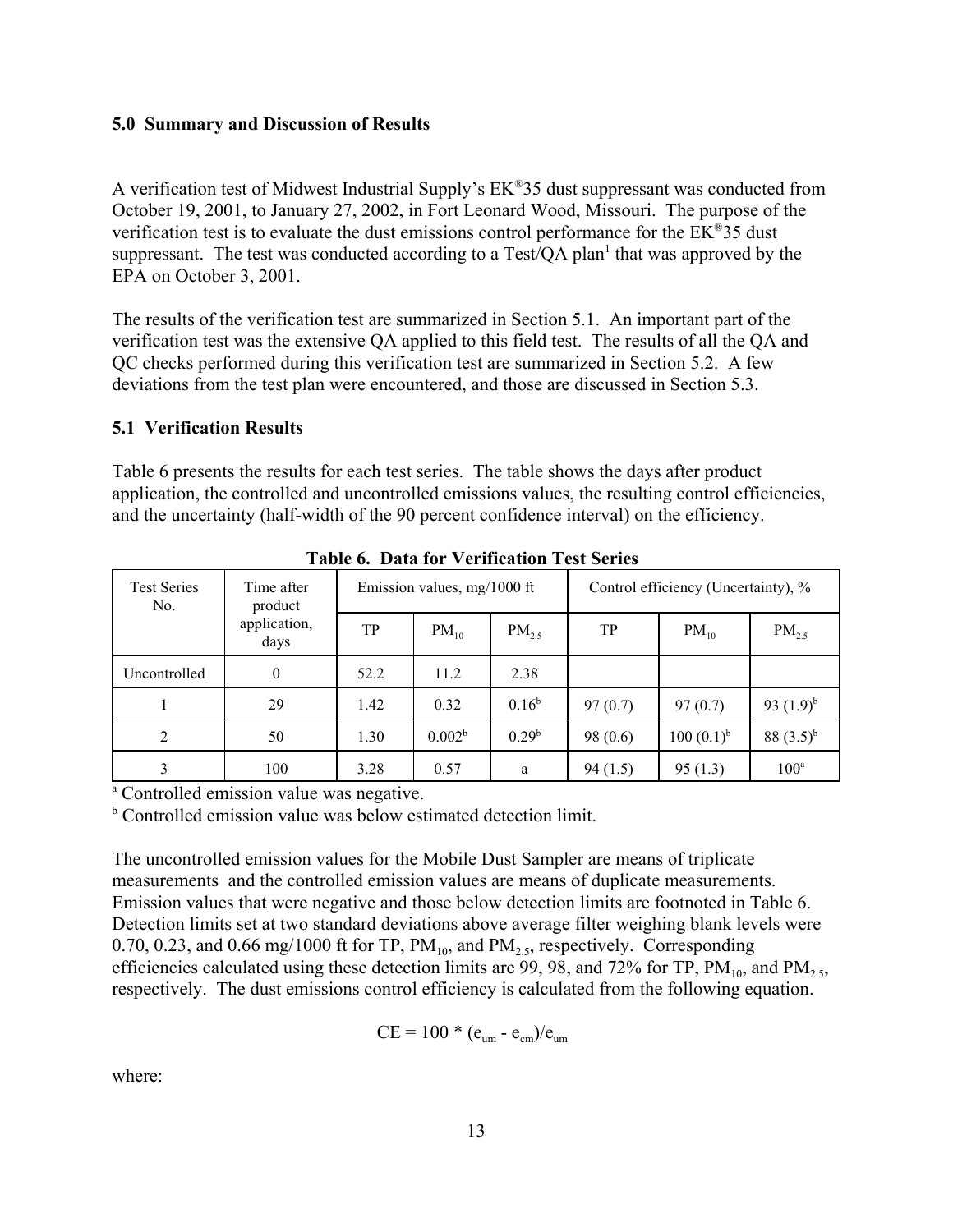#### **5.0 Summary and Discussion of Results**

A verification test of Midwest Industrial Supply's EK®35 dust suppressant was conducted from October 19, 2001, to January 27, 2002, in Fort Leonard Wood, Missouri. The purpose of the verification test is to evaluate the dust emissions control performance for the EK®35 dust suppressant. The test was conducted according to a Test/QA plan<sup>1</sup> that was approved by the EPA on October 3, 2001.

The results of the verification test are summarized in Section 5.1. An important part of the verification test was the extensive QA applied to this field test. The results of all the QA and QC checks performed during this verification test are summarized in Section 5.2. A few deviations from the test plan were encountered, and those are discussed in Section 5.3.

### **5.1 Verification Results**

Table 6 presents the results for each test series. The table shows the days after product application, the controlled and uncontrolled emissions values, the resulting control efficiencies, and the uncertainty (half-width of the 90 percent confidence interval) on the efficiency.

| Tubic of Dutu for a chilicution Test Scrites |                       |      |                             |                   |                                     |                 |                |  |  |  |
|----------------------------------------------|-----------------------|------|-----------------------------|-------------------|-------------------------------------|-----------------|----------------|--|--|--|
| <b>Test Series</b><br>No.                    | Time after<br>product |      | Emission values, mg/1000 ft |                   | Control efficiency (Uncertainty), % |                 |                |  |  |  |
|                                              | application,<br>days  | TP   | $PM_{10}$                   | $PM_{2.5}$        | TP                                  | $PM_{10}$       | $PM_{2.5}$     |  |  |  |
| Uncontrolled                                 | $\boldsymbol{0}$      | 52.2 | 11.2                        | 2.38              |                                     |                 |                |  |  |  |
|                                              | 29                    | 1.42 | 0.32                        | $0.16^b$          | 97(0.7)                             | 97(0.7)         | 93 $(1.9)^{b}$ |  |  |  |
| 2                                            | 50                    | 1.30 | 0.002 <sup>b</sup>          | 0.29 <sup>b</sup> | 98(0.6)                             | $100 (0.1)^{b}$ | 88 $(3.5)^{b}$ |  |  |  |
|                                              | 100                   | 3.28 | 0.57                        | a                 | 94(1.5)                             | 95(1.3)         | $100^a$        |  |  |  |

**Table 6. Data for Verification Test Series**

<sup>a</sup> Controlled emission value was negative.

<sup>b</sup> Controlled emission value was below estimated detection limit.

The uncontrolled emission values for the Mobile Dust Sampler are means of triplicate measurements and the controlled emission values are means of duplicate measurements. Emission values that were negative and those below detection limits are footnoted in Table 6. Detection limits set at two standard deviations above average filter weighing blank levels were 0.70, 0.23, and 0.66 mg/1000 ft for TP,  $PM_{10}$ , and  $PM_{2.5}$ , respectively. Corresponding efficiencies calculated using these detection limits are 99, 98, and 72% for TP,  $PM_{10}$ , and  $PM_{2.5}$ , respectively. The dust emissions control efficiency is calculated from the following equation.

$$
CE = 100 * (e_{um} - e_{cm})/e_{um}
$$

where: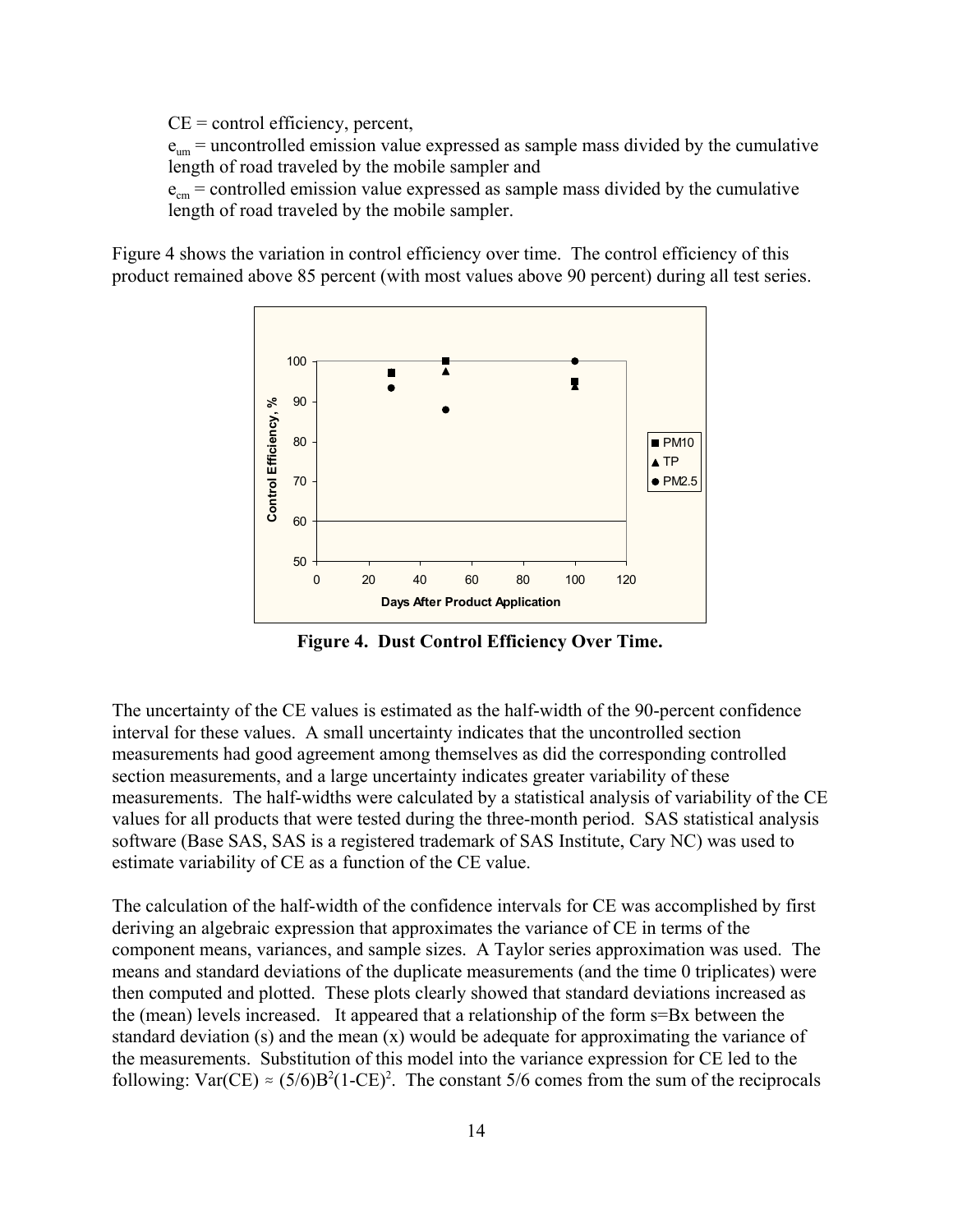$CE = control$  efficiency, percent,

 $e_{um}$  = uncontrolled emission value expressed as sample mass divided by the cumulative length of road traveled by the mobile sampler and

 $e<sub>cm</sub>$  = controlled emission value expressed as sample mass divided by the cumulative length of road traveled by the mobile sampler.

Figure 4 shows the variation in control efficiency over time. The control efficiency of this product remained above 85 percent (with most values above 90 percent) during all test series.



**Figure 4. Dust Control Efficiency Over Time.**

The uncertainty of the CE values is estimated as the half-width of the 90-percent confidence interval for these values. A small uncertainty indicates that the uncontrolled section measurements had good agreement among themselves as did the corresponding controlled section measurements, and a large uncertainty indicates greater variability of these measurements. The half-widths were calculated by a statistical analysis of variability of the CE values for all products that were tested during the three-month period. SAS statistical analysis software (Base SAS, SAS is a registered trademark of SAS Institute, Cary NC) was used to estimate variability of CE as a function of the CE value.

The calculation of the half-width of the confidence intervals for CE was accomplished by first deriving an algebraic expression that approximates the variance of CE in terms of the component means, variances, and sample sizes. A Taylor series approximation was used. The means and standard deviations of the duplicate measurements (and the time 0 triplicates) were then computed and plotted. These plots clearly showed that standard deviations increased as the (mean) levels increased. It appeared that a relationship of the form s=Bx between the standard deviation (s) and the mean  $(x)$  would be adequate for approximating the variance of the measurements. Substitution of this model into the variance expression for CE led to the following:  $Var(CE) \approx (5/6)B^2(1-CE)^2$ . The constant 5/6 comes from the sum of the reciprocals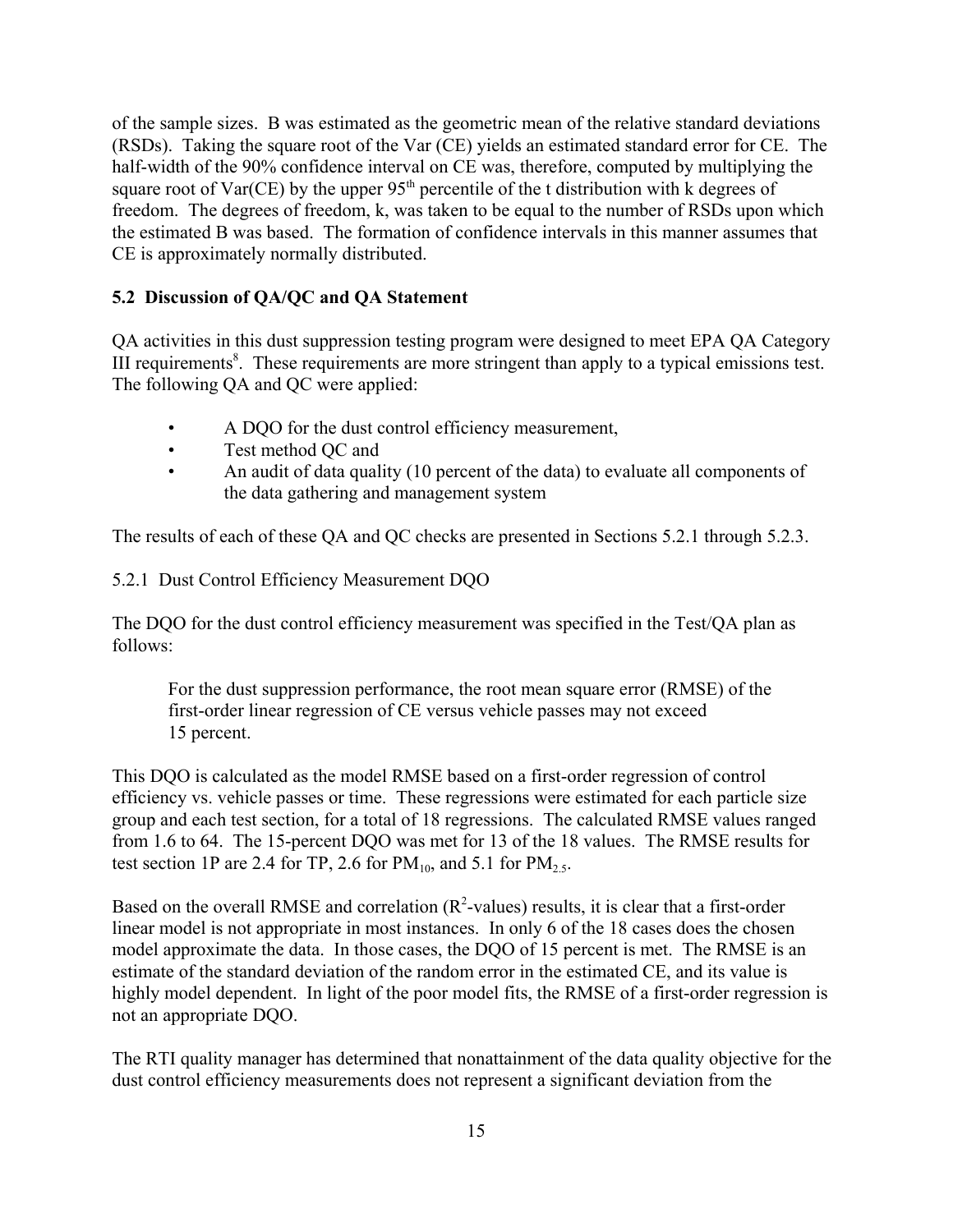of the sample sizes. B was estimated as the geometric mean of the relative standard deviations (RSDs). Taking the square root of the Var (CE) yields an estimated standard error for CE. The half-width of the 90% confidence interval on CE was, therefore, computed by multiplying the square root of  $Var(CE)$  by the upper  $95<sup>th</sup>$  percentile of the t distribution with k degrees of freedom. The degrees of freedom, k, was taken to be equal to the number of RSDs upon which the estimated B was based. The formation of confidence intervals in this manner assumes that CE is approximately normally distributed.

## **5.2 Discussion of QA/QC and QA Statement**

QA activities in this dust suppression testing program were designed to meet EPA QA Category III requirements<sup>8</sup>. These requirements are more stringent than apply to a typical emissions test. The following QA and QC were applied:

- A DQO for the dust control efficiency measurement,
- Test method QC and
- An audit of data quality (10 percent of the data) to evaluate all components of the data gathering and management system

The results of each of these QA and QC checks are presented in Sections 5.2.1 through 5.2.3.

5.2.1 Dust Control Efficiency Measurement DQO

The DQO for the dust control efficiency measurement was specified in the Test/QA plan as follows:

For the dust suppression performance, the root mean square error (RMSE) of the first-order linear regression of CE versus vehicle passes may not exceed 15 percent.

This DQO is calculated as the model RMSE based on a first-order regression of control efficiency vs. vehicle passes or time. These regressions were estimated for each particle size group and each test section, for a total of 18 regressions. The calculated RMSE values ranged from 1.6 to 64. The 15-percent DQO was met for 13 of the 18 values. The RMSE results for test section 1P are 2.4 for TP, 2.6 for  $PM_{10}$ , and 5.1 for  $PM_{2.5}$ .

Based on the overall RMSE and correlation  $(R^2$ -values) results, it is clear that a first-order linear model is not appropriate in most instances. In only 6 of the 18 cases does the chosen model approximate the data. In those cases, the DQO of 15 percent is met. The RMSE is an estimate of the standard deviation of the random error in the estimated CE, and its value is highly model dependent. In light of the poor model fits, the RMSE of a first-order regression is not an appropriate DQO.

The RTI quality manager has determined that nonattainment of the data quality objective for the dust control efficiency measurements does not represent a significant deviation from the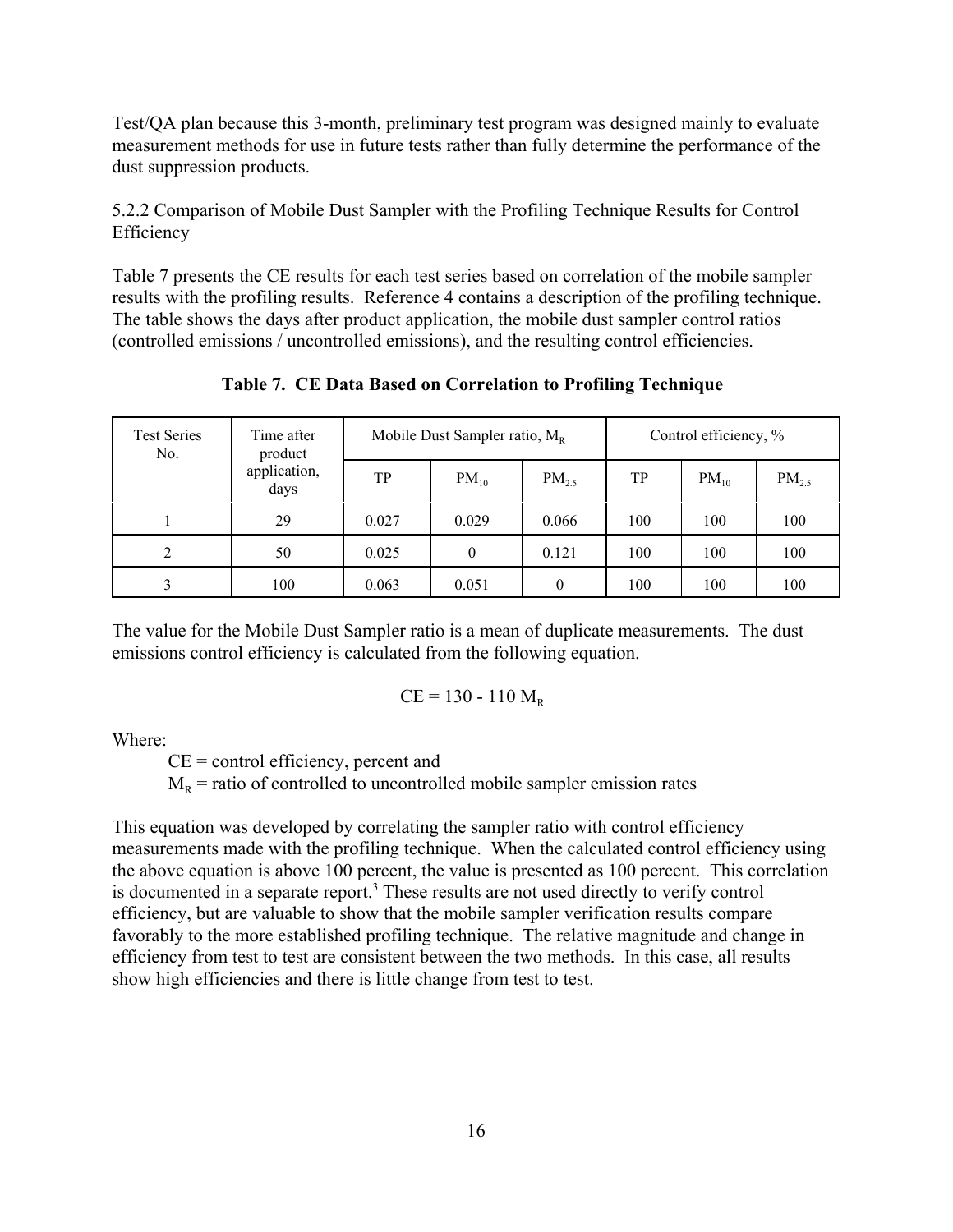Test/QA plan because this 3-month, preliminary test program was designed mainly to evaluate measurement methods for use in future tests rather than fully determine the performance of the dust suppression products.

5.2.2 Comparison of Mobile Dust Sampler with the Profiling Technique Results for Control Efficiency

Table 7 presents the CE results for each test series based on correlation of the mobile sampler results with the profiling results. Reference 4 contains a description of the profiling technique. The table shows the days after product application, the mobile dust sampler control ratios (controlled emissions / uncontrolled emissions), and the resulting control efficiencies.

**Table 7. CE Data Based on Correlation to Profiling Technique**

| <b>Test Series</b><br>No. | Time after<br>product |       | Mobile Dust Sampler ratio, $M_{R}$ |            | Control efficiency, % |           |            |
|---------------------------|-----------------------|-------|------------------------------------|------------|-----------------------|-----------|------------|
|                           | application,<br>days  | TP    | $PM_{10}$                          | $PM_{2.5}$ | TP                    | $PM_{10}$ | $PM_{2.5}$ |
|                           | 29                    | 0.027 | 0.029                              | 0.066      | 100                   | 100       | 100        |
| $\overline{2}$            | 50                    | 0.025 | $\theta$                           | 0.121      | 100                   | 100       | 100        |
|                           | 100                   | 0.063 | 0.051                              | $\theta$   | 100                   | 100       | 100        |

The value for the Mobile Dust Sampler ratio is a mean of duplicate measurements. The dust emissions control efficiency is calculated from the following equation.

$$
CE = 130 - 110 M_R
$$

Where:

 $CE = control$  efficiency, percent and

 $M<sub>R</sub>$  = ratio of controlled to uncontrolled mobile sampler emission rates

This equation was developed by correlating the sampler ratio with control efficiency measurements made with the profiling technique. When the calculated control efficiency using the above equation is above 100 percent, the value is presented as 100 percent. This correlation is documented in a separate report.<sup>3</sup> These results are not used directly to verify control efficiency, but are valuable to show that the mobile sampler verification results compare favorably to the more established profiling technique. The relative magnitude and change in efficiency from test to test are consistent between the two methods. In this case, all results show high efficiencies and there is little change from test to test.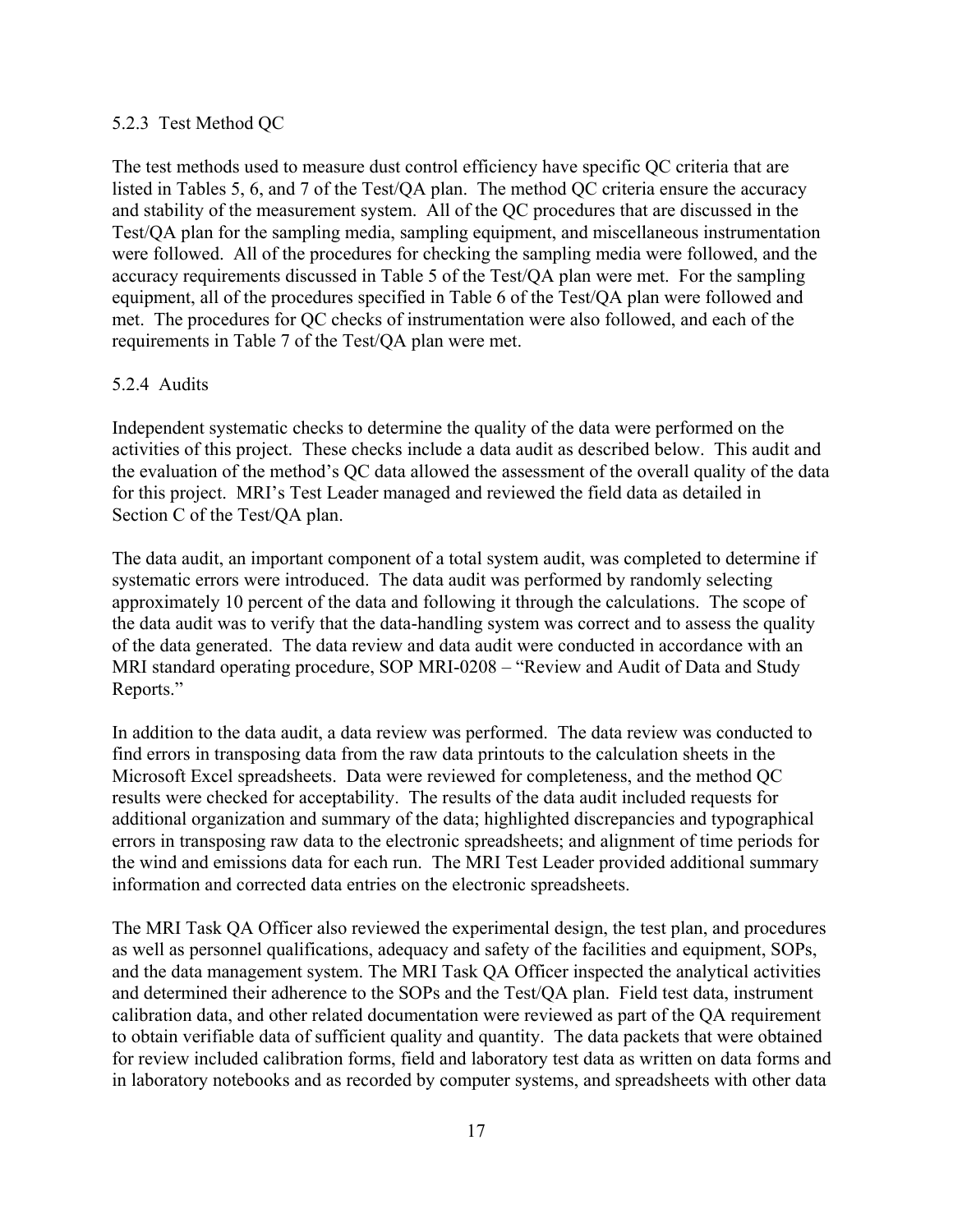#### 5.2.3 Test Method QC

The test methods used to measure dust control efficiency have specific QC criteria that are listed in Tables 5, 6, and 7 of the Test/QA plan. The method QC criteria ensure the accuracy and stability of the measurement system. All of the QC procedures that are discussed in the Test/QA plan for the sampling media, sampling equipment, and miscellaneous instrumentation were followed. All of the procedures for checking the sampling media were followed, and the accuracy requirements discussed in Table 5 of the Test/QA plan were met. For the sampling equipment, all of the procedures specified in Table 6 of the Test/QA plan were followed and met. The procedures for QC checks of instrumentation were also followed, and each of the requirements in Table 7 of the Test/QA plan were met.

#### 5.2.4 Audits

Independent systematic checks to determine the quality of the data were performed on the activities of this project. These checks include a data audit as described below. This audit and the evaluation of the method's QC data allowed the assessment of the overall quality of the data for this project. MRI's Test Leader managed and reviewed the field data as detailed in Section C of the Test/QA plan.

The data audit, an important component of a total system audit, was completed to determine if systematic errors were introduced. The data audit was performed by randomly selecting approximately 10 percent of the data and following it through the calculations. The scope of the data audit was to verify that the data-handling system was correct and to assess the quality of the data generated. The data review and data audit were conducted in accordance with an MRI standard operating procedure, SOP MRI-0208 – "Review and Audit of Data and Study Reports."

In addition to the data audit, a data review was performed. The data review was conducted to find errors in transposing data from the raw data printouts to the calculation sheets in the Microsoft Excel spreadsheets. Data were reviewed for completeness, and the method QC results were checked for acceptability. The results of the data audit included requests for additional organization and summary of the data; highlighted discrepancies and typographical errors in transposing raw data to the electronic spreadsheets; and alignment of time periods for the wind and emissions data for each run. The MRI Test Leader provided additional summary information and corrected data entries on the electronic spreadsheets.

The MRI Task QA Officer also reviewed the experimental design, the test plan, and procedures as well as personnel qualifications, adequacy and safety of the facilities and equipment, SOPs, and the data management system. The MRI Task QA Officer inspected the analytical activities and determined their adherence to the SOPs and the Test/QA plan. Field test data, instrument calibration data, and other related documentation were reviewed as part of the QA requirement to obtain verifiable data of sufficient quality and quantity. The data packets that were obtained for review included calibration forms, field and laboratory test data as written on data forms and in laboratory notebooks and as recorded by computer systems, and spreadsheets with other data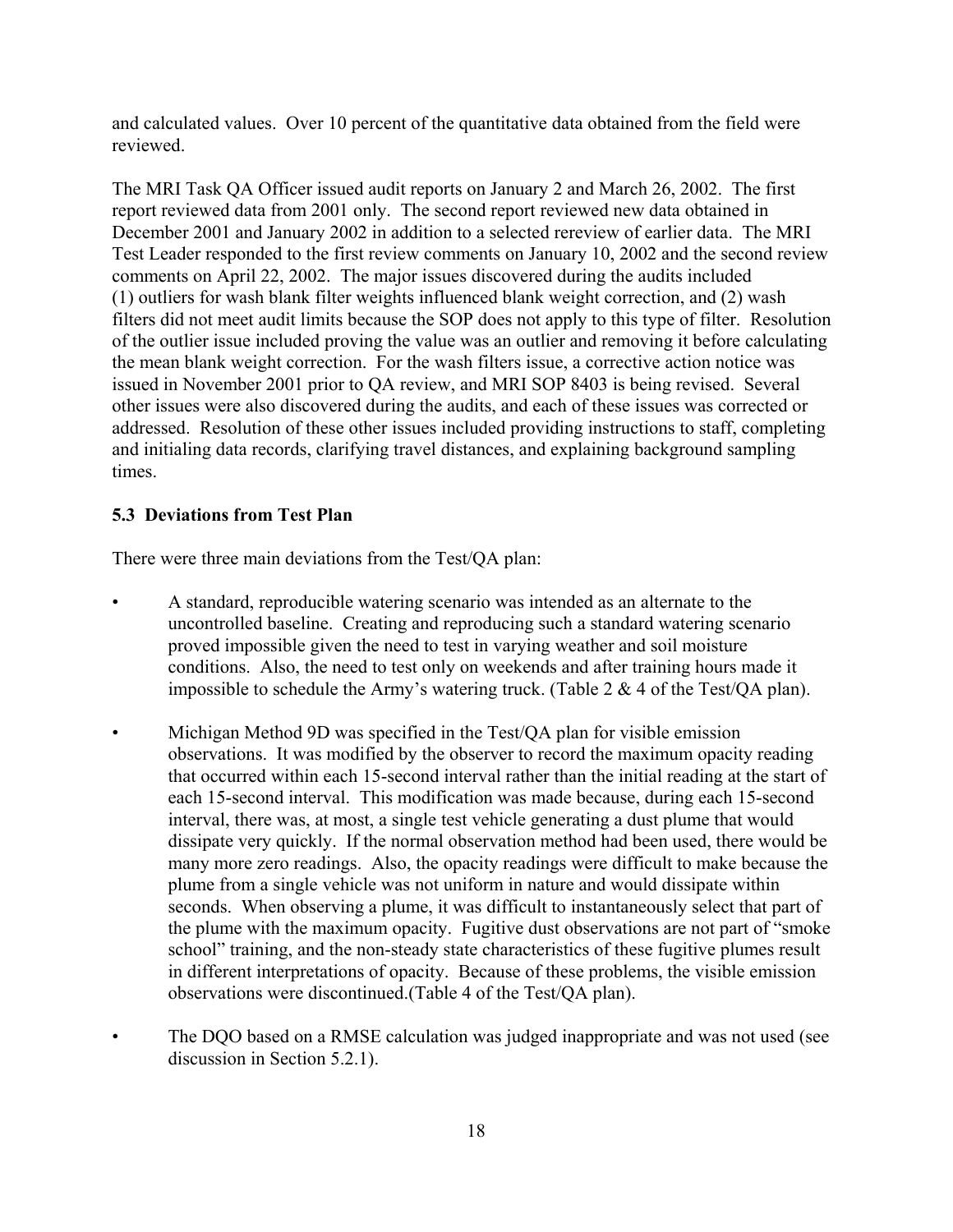and calculated values. Over 10 percent of the quantitative data obtained from the field were reviewed.

The MRI Task QA Officer issued audit reports on January 2 and March 26, 2002. The first report reviewed data from 2001 only. The second report reviewed new data obtained in December 2001 and January 2002 in addition to a selected rereview of earlier data. The MRI Test Leader responded to the first review comments on January 10, 2002 and the second review comments on April 22, 2002. The major issues discovered during the audits included (1) outliers for wash blank filter weights influenced blank weight correction, and (2) wash filters did not meet audit limits because the SOP does not apply to this type of filter. Resolution of the outlier issue included proving the value was an outlier and removing it before calculating the mean blank weight correction. For the wash filters issue, a corrective action notice was issued in November 2001 prior to QA review, and MRI SOP 8403 is being revised. Several other issues were also discovered during the audits, and each of these issues was corrected or addressed. Resolution of these other issues included providing instructions to staff, completing and initialing data records, clarifying travel distances, and explaining background sampling times.

### **5.3 Deviations from Test Plan**

There were three main deviations from the Test/QA plan:

- A standard, reproducible watering scenario was intended as an alternate to the uncontrolled baseline. Creating and reproducing such a standard watering scenario proved impossible given the need to test in varying weather and soil moisture conditions. Also, the need to test only on weekends and after training hours made it impossible to schedule the Army's watering truck. (Table 2 & 4 of the Test/QA plan).
- Michigan Method 9D was specified in the Test/QA plan for visible emission observations. It was modified by the observer to record the maximum opacity reading that occurred within each 15-second interval rather than the initial reading at the start of each 15-second interval. This modification was made because, during each 15-second interval, there was, at most, a single test vehicle generating a dust plume that would dissipate very quickly. If the normal observation method had been used, there would be many more zero readings. Also, the opacity readings were difficult to make because the plume from a single vehicle was not uniform in nature and would dissipate within seconds. When observing a plume, it was difficult to instantaneously select that part of the plume with the maximum opacity. Fugitive dust observations are not part of "smoke school" training, and the non-steady state characteristics of these fugitive plumes result in different interpretations of opacity. Because of these problems, the visible emission observations were discontinued.(Table 4 of the Test/QA plan).
- The DQO based on a RMSE calculation was judged inappropriate and was not used (see discussion in Section 5.2.1).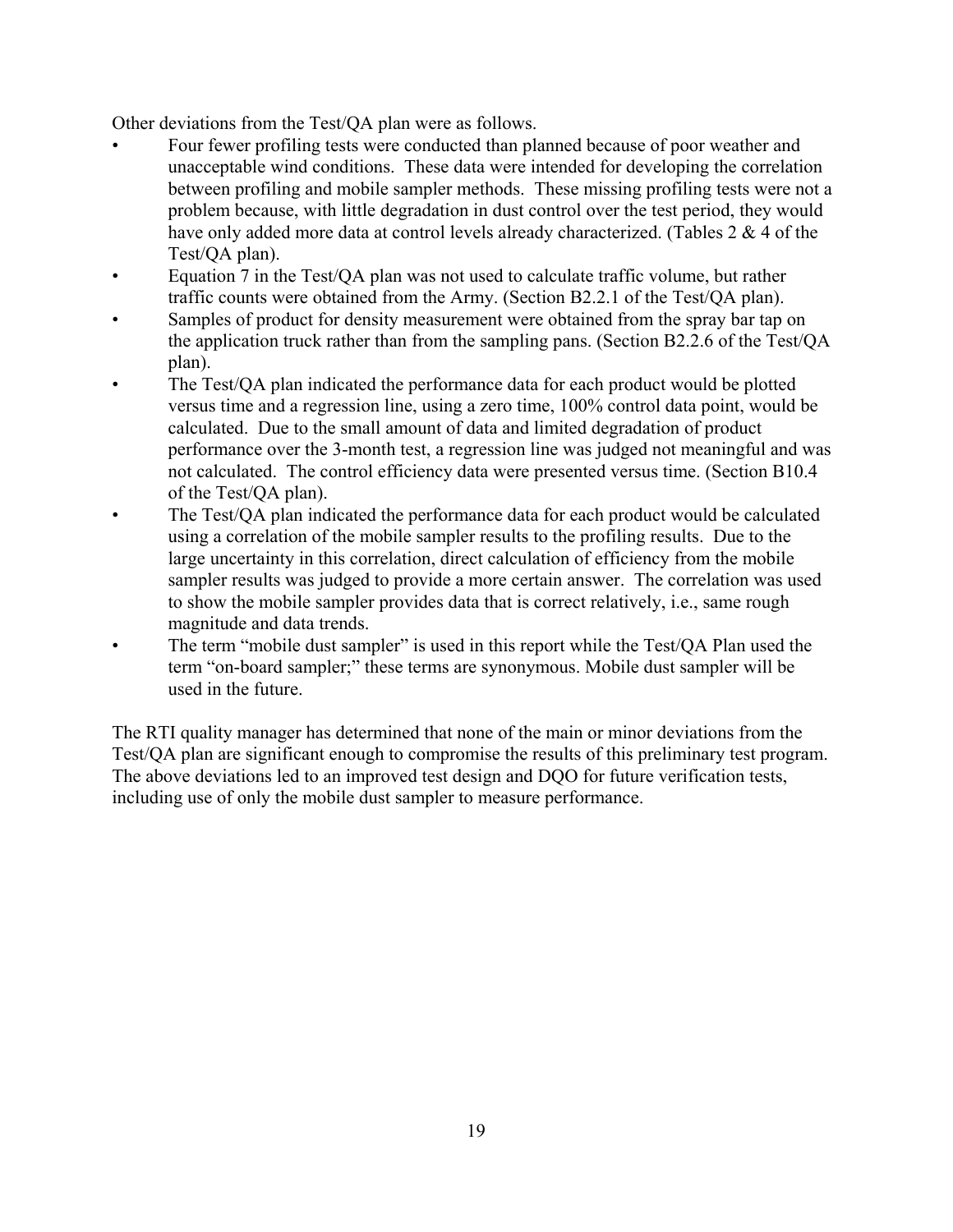Other deviations from the Test/QA plan were as follows.

- Four fewer profiling tests were conducted than planned because of poor weather and unacceptable wind conditions. These data were intended for developing the correlation between profiling and mobile sampler methods. These missing profiling tests were not a problem because, with little degradation in dust control over the test period, they would have only added more data at control levels already characterized. (Tables 2 & 4 of the Test/QA plan).
- Equation 7 in the Test/QA plan was not used to calculate traffic volume, but rather traffic counts were obtained from the Army. (Section B2.2.1 of the Test/QA plan).
- Samples of product for density measurement were obtained from the spray bar tap on the application truck rather than from the sampling pans. (Section B2.2.6 of the Test/QA plan).
- The Test/QA plan indicated the performance data for each product would be plotted versus time and a regression line, using a zero time, 100% control data point, would be calculated. Due to the small amount of data and limited degradation of product performance over the 3-month test, a regression line was judged not meaningful and was not calculated. The control efficiency data were presented versus time. (Section B10.4 of the Test/QA plan).
- The Test/QA plan indicated the performance data for each product would be calculated using a correlation of the mobile sampler results to the profiling results. Due to the large uncertainty in this correlation, direct calculation of efficiency from the mobile sampler results was judged to provide a more certain answer. The correlation was used to show the mobile sampler provides data that is correct relatively, i.e., same rough magnitude and data trends.
- The term "mobile dust sampler" is used in this report while the Test/OA Plan used the term "on-board sampler;" these terms are synonymous. Mobile dust sampler will be used in the future.

The RTI quality manager has determined that none of the main or minor deviations from the Test/QA plan are significant enough to compromise the results of this preliminary test program. The above deviations led to an improved test design and DQO for future verification tests, including use of only the mobile dust sampler to measure performance.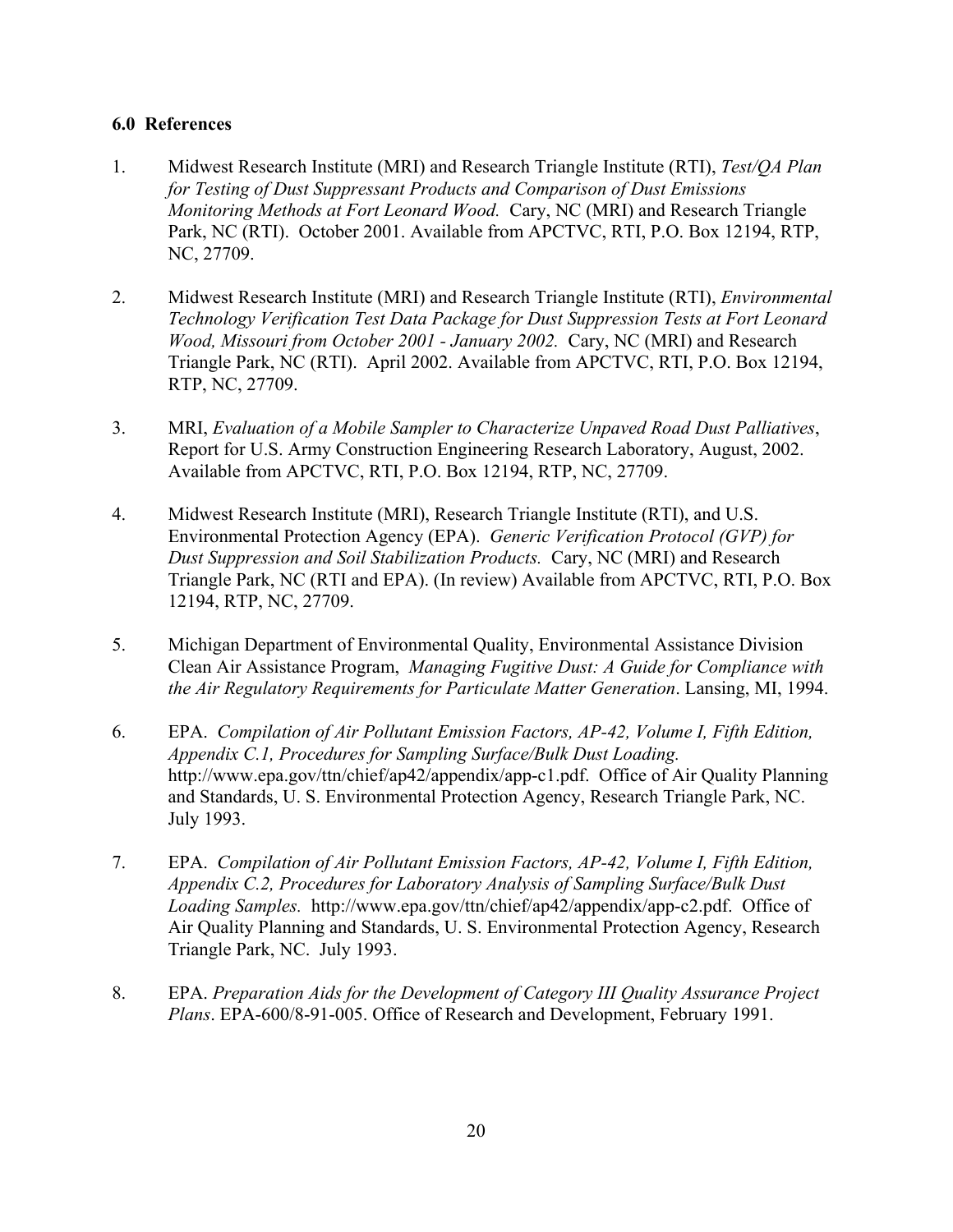#### **6.0 References**

- 1. Midwest Research Institute (MRI) and Research Triangle Institute (RTI), *Test/QA Plan for Testing of Dust Suppressant Products and Comparison of Dust Emissions Monitoring Methods at Fort Leonard Wood.* Cary, NC (MRI) and Research Triangle Park, NC (RTI). October 2001. Available from APCTVC, RTI, P.O. Box 12194, RTP, NC, 27709.
- 2. Midwest Research Institute (MRI) and Research Triangle Institute (RTI), *Environmental Technology Verification Test Data Package for Dust Suppression Tests at Fort Leonard Wood, Missouri from October 2001 - January 2002.* Cary, NC (MRI) and Research Triangle Park, NC (RTI). April 2002. Available from APCTVC, RTI, P.O. Box 12194, RTP, NC, 27709.
- 3. MRI, *Evaluation of a Mobile Sampler to Characterize Unpaved Road Dust Palliatives*, Report for U.S. Army Construction Engineering Research Laboratory, August, 2002. Available from APCTVC, RTI, P.O. Box 12194, RTP, NC, 27709.
- 4. Midwest Research Institute (MRI), Research Triangle Institute (RTI), and U.S. Environmental Protection Agency (EPA). *Generic Verification Protocol (GVP) for Dust Suppression and Soil Stabilization Products.* Cary, NC (MRI) and Research Triangle Park, NC (RTI and EPA). (In review) Available from APCTVC, RTI, P.O. Box 12194, RTP, NC, 27709.
- 5. Michigan Department of Environmental Quality, Environmental Assistance Division Clean Air Assistance Program, *Managing Fugitive Dust: A Guide for Compliance with the Air Regulatory Requirements for Particulate Matter Generation*. Lansing, MI, 1994.
- 6. EPA. *Compilation of Air Pollutant Emission Factors, AP-42, Volume I, Fifth Edition, Appendix C.1, Procedures for Sampling Surface/Bulk Dust Loading.* http://www.epa.gov/ttn/chief/ap42/appendix/app-c1.pdf. Office of Air Quality Planning and Standards, U. S. Environmental Protection Agency, Research Triangle Park, NC. July 1993.
- 7. EPA. *Compilation of Air Pollutant Emission Factors, AP-42, Volume I, Fifth Edition, Appendix C.2, Procedures for Laboratory Analysis of Sampling Surface/Bulk Dust Loading Samples.* http://www.epa.gov/ttn/chief/ap42/appendix/app-c2.pdf. Office of Air Quality Planning and Standards, U. S. Environmental Protection Agency, Research Triangle Park, NC. July 1993.
- 8. EPA. *Preparation Aids for the Development of Category III Quality Assurance Project Plans*. EPA-600/8-91-005. Office of Research and Development, February 1991.